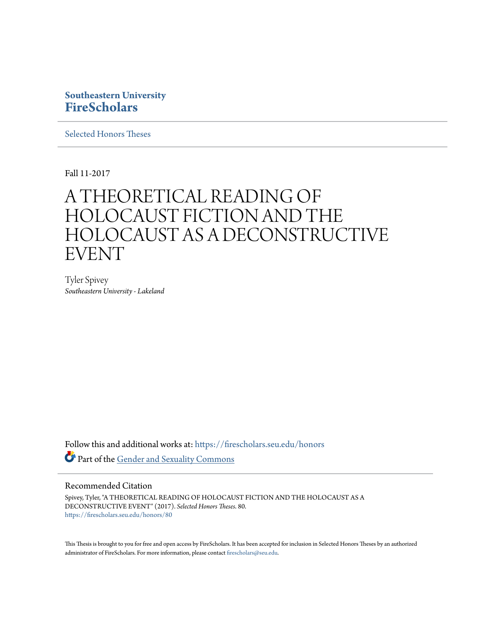### **Southeastern University [FireScholars](https://firescholars.seu.edu?utm_source=firescholars.seu.edu%2Fhonors%2F80&utm_medium=PDF&utm_campaign=PDFCoverPages)**

[Selected Honors Theses](https://firescholars.seu.edu/honors?utm_source=firescholars.seu.edu%2Fhonors%2F80&utm_medium=PDF&utm_campaign=PDFCoverPages)

Fall 11-2017

# A THEORETICAL READING OF HOLOCAUST FICTION AND THE HOLOCAUST AS A DECONSTRUCTIVE EVENT

Tyler Spivey *Southeastern University - Lakeland*

Follow this and additional works at: [https://firescholars.seu.edu/honors](https://firescholars.seu.edu/honors?utm_source=firescholars.seu.edu%2Fhonors%2F80&utm_medium=PDF&utm_campaign=PDFCoverPages) Part of the [Gender and Sexuality Commons](http://network.bepress.com/hgg/discipline/420?utm_source=firescholars.seu.edu%2Fhonors%2F80&utm_medium=PDF&utm_campaign=PDFCoverPages)

#### Recommended Citation

Spivey, Tyler, "A THEORETICAL READING OF HOLOCAUST FICTION AND THE HOLOCAUST AS A DECONSTRUCTIVE EVENT" (2017). *Selected Honors Theses*. 80. [https://firescholars.seu.edu/honors/80](https://firescholars.seu.edu/honors/80?utm_source=firescholars.seu.edu%2Fhonors%2F80&utm_medium=PDF&utm_campaign=PDFCoverPages)

This Thesis is brought to you for free and open access by FireScholars. It has been accepted for inclusion in Selected Honors Theses by an authorized administrator of FireScholars. For more information, please contact [firescholars@seu.edu](mailto:firescholars@seu.edu).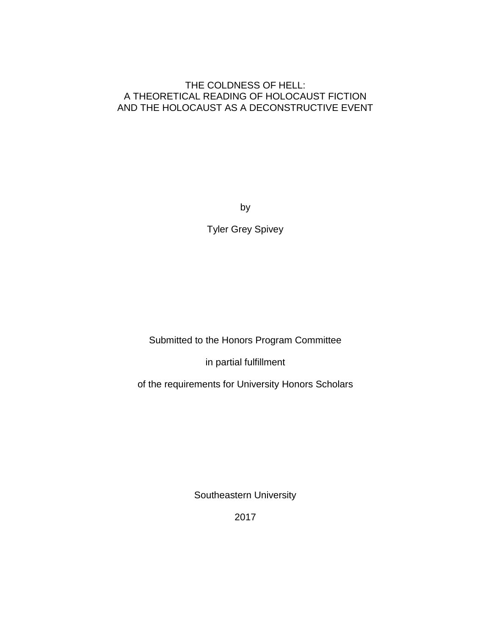#### THE COLDNESS OF HELL: A THEORETICAL READING OF HOLOCAUST FICTION AND THE HOLOCAUST AS A DECONSTRUCTIVE EVENT

by

Tyler Grey Spivey

Submitted to the Honors Program Committee

in partial fulfillment

of the requirements for University Honors Scholars

Southeastern University

2017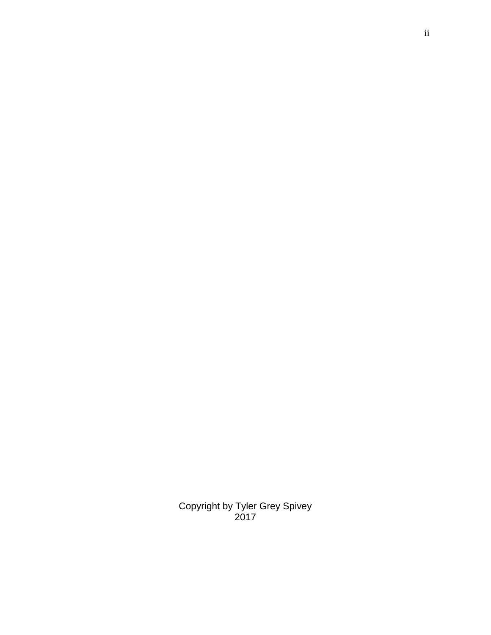Copyright by Tyler Grey Spivey 2017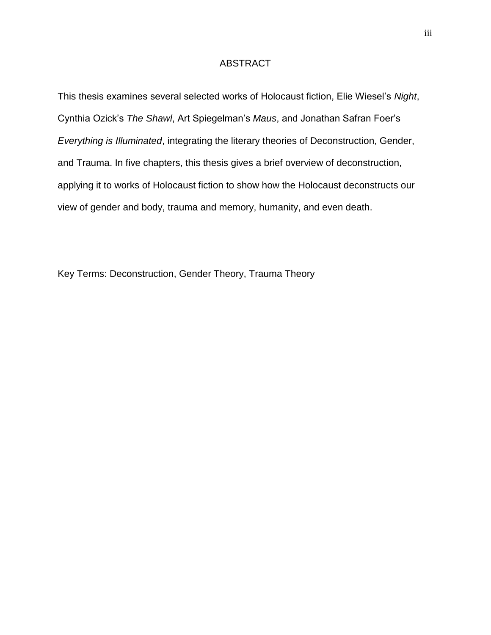#### ABSTRACT

This thesis examines several selected works of Holocaust fiction, Elie Wiesel's *Night*, Cynthia Ozick's *The Shawl*, Art Spiegelman's *Maus*, and Jonathan Safran Foer's *Everything is Illuminated*, integrating the literary theories of Deconstruction, Gender, and Trauma. In five chapters, this thesis gives a brief overview of deconstruction, applying it to works of Holocaust fiction to show how the Holocaust deconstructs our view of gender and body, trauma and memory, humanity, and even death.

Key Terms: Deconstruction, Gender Theory, Trauma Theory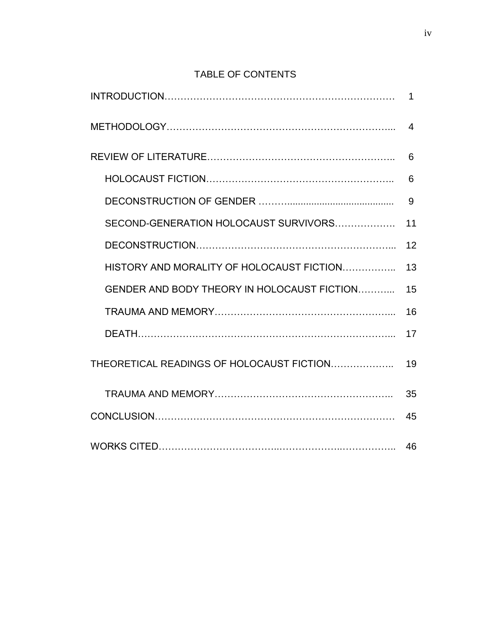## TABLE OF CONTENTS

|                                             | 1              |
|---------------------------------------------|----------------|
|                                             | $\overline{4}$ |
|                                             | 6              |
|                                             | 6              |
|                                             | 9              |
| SECOND-GENERATION HOLOCAUST SURVIVORS       | 11             |
|                                             | 12             |
| HISTORY AND MORALITY OF HOLOCAUST FICTION   | 13             |
| GENDER AND BODY THEORY IN HOLOCAUST FICTION | 15             |
|                                             | 16             |
|                                             | 17             |
| THEORETICAL READINGS OF HOLOCAUST FICTION   | 19             |
|                                             | 35             |
|                                             | 45             |
|                                             | 46             |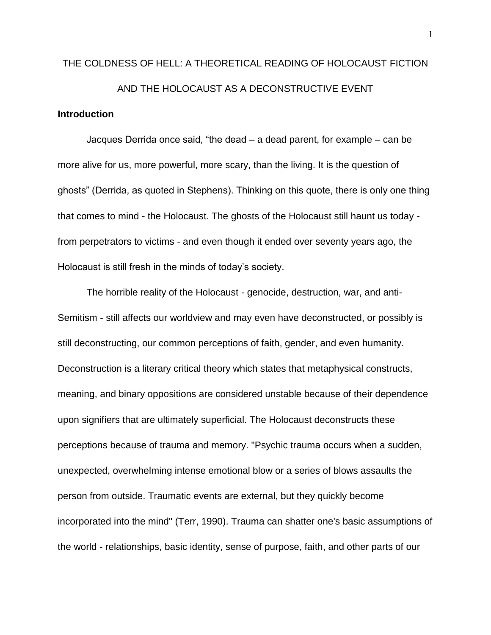# THE COLDNESS OF HELL: A THEORETICAL READING OF HOLOCAUST FICTION AND THE HOLOCAUST AS A DECONSTRUCTIVE EVENT

#### **Introduction**

Jacques Derrida once said, "the dead – a dead parent, for example – can be more alive for us, more powerful, more scary, than the living. It is the question of ghosts" (Derrida, as quoted in Stephens). Thinking on this quote, there is only one thing that comes to mind - the Holocaust. The ghosts of the Holocaust still haunt us today from perpetrators to victims - and even though it ended over seventy years ago, the Holocaust is still fresh in the minds of today's society.

The horrible reality of the Holocaust - genocide, destruction, war, and anti-Semitism - still affects our worldview and may even have deconstructed, or possibly is still deconstructing, our common perceptions of faith, gender, and even humanity. Deconstruction is a literary critical theory which states that metaphysical constructs, meaning, and binary oppositions are considered unstable because of their dependence upon signifiers that are ultimately superficial. The Holocaust deconstructs these perceptions because of trauma and memory. "Psychic trauma occurs when a sudden, unexpected, overwhelming intense emotional blow or a series of blows assaults the person from outside. Traumatic events are external, but they quickly become incorporated into the mind" (Terr, 1990). Trauma can shatter one's basic assumptions of the world - relationships, basic identity, sense of purpose, faith, and other parts of our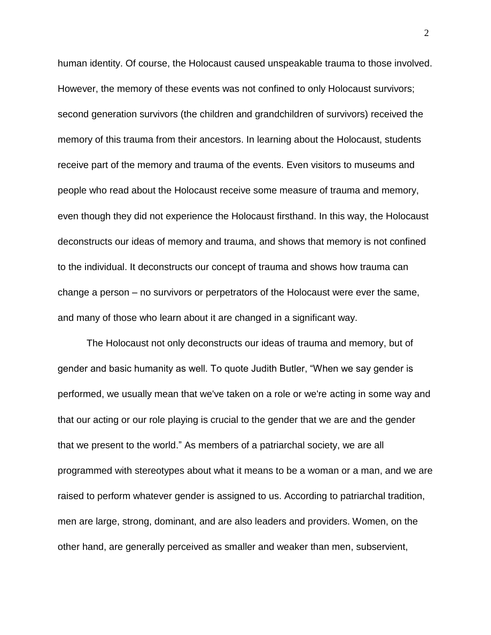human identity. Of course, the Holocaust caused unspeakable trauma to those involved. However, the memory of these events was not confined to only Holocaust survivors; second generation survivors (the children and grandchildren of survivors) received the memory of this trauma from their ancestors. In learning about the Holocaust, students receive part of the memory and trauma of the events. Even visitors to museums and people who read about the Holocaust receive some measure of trauma and memory, even though they did not experience the Holocaust firsthand. In this way, the Holocaust deconstructs our ideas of memory and trauma, and shows that memory is not confined to the individual. It deconstructs our concept of trauma and shows how trauma can change a person – no survivors or perpetrators of the Holocaust were ever the same, and many of those who learn about it are changed in a significant way.

The Holocaust not only deconstructs our ideas of trauma and memory, but of gender and basic humanity as well. To quote Judith Butler, "When we say gender is performed, we usually mean that we've taken on a role or we're acting in some way and that our acting or our role playing is crucial to the gender that we are and the gender that we present to the world." As members of a patriarchal society, we are all programmed with stereotypes about what it means to be a woman or a man, and we are raised to perform whatever gender is assigned to us. According to patriarchal tradition, men are large, strong, dominant, and are also leaders and providers. Women, on the other hand, are generally perceived as smaller and weaker than men, subservient,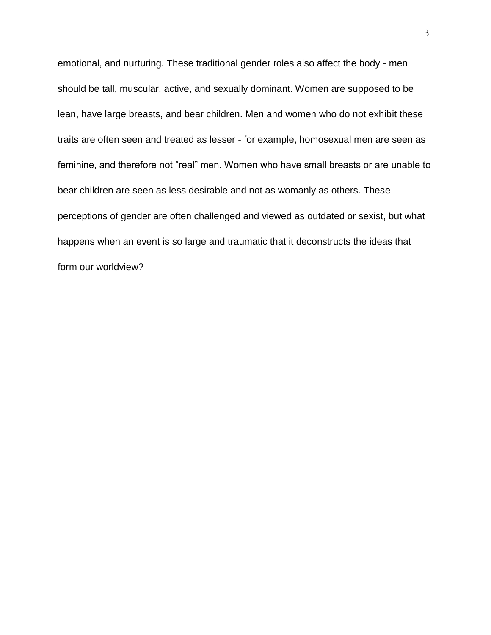emotional, and nurturing. These traditional gender roles also affect the body - men should be tall, muscular, active, and sexually dominant. Women are supposed to be lean, have large breasts, and bear children. Men and women who do not exhibit these traits are often seen and treated as lesser - for example, homosexual men are seen as feminine, and therefore not "real" men. Women who have small breasts or are unable to bear children are seen as less desirable and not as womanly as others. These perceptions of gender are often challenged and viewed as outdated or sexist, but what happens when an event is so large and traumatic that it deconstructs the ideas that form our worldview?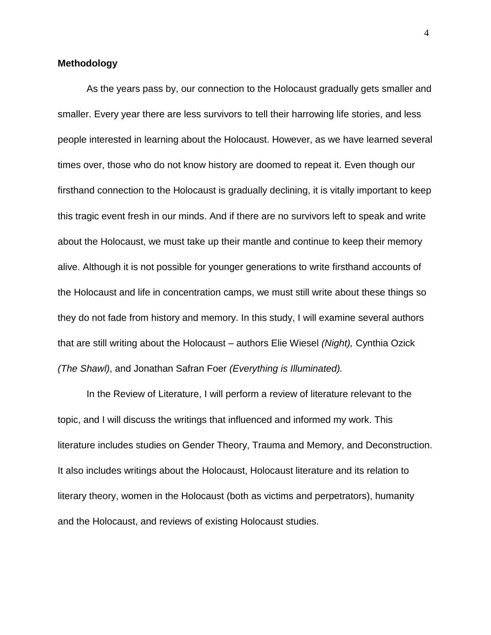#### **Methodology**

As the years pass by, our connection to the Holocaust gradually gets smaller and smaller. Every year there are less survivors to tell their harrowing life stories, and less people interested in learning about the Holocaust. However, as we have learned several times over, those who do not know history are doomed to repeat it. Even though our firsthand connection to the Holocaust is gradually declining, it is vitally important to keep this tragic event fresh in our minds. And if there are no survivors left to speak and write about the Holocaust, we must take up their mantle and continue to keep their memory alive. Although it is not possible for younger generations to write firsthand accounts of the Holocaust and life in concentration camps, we must still write about these things so they do not fade from history and memory. In this study, I will examine several authors that are still writing about the Holocaust – authors Elie Wiesel *(Night),* Cynthia Ozick *(The Shawl)*, and Jonathan Safran Foer *(Everything is Illuminated).*

In the Review of Literature, I will perform a review of literature relevant to the topic, and I will discuss the writings that influenced and informed my work. This literature includes studies on Gender Theory, Trauma and Memory, and Deconstruction. It also includes writings about the Holocaust, Holocaust literature and its relation to literary theory, women in the Holocaust (both as victims and perpetrators), humanity and the Holocaust, and reviews of existing Holocaust studies.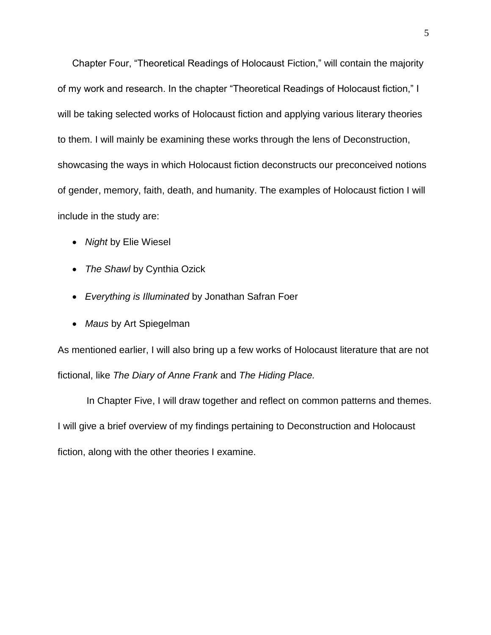Chapter Four, "Theoretical Readings of Holocaust Fiction," will contain the majority of my work and research. In the chapter "Theoretical Readings of Holocaust fiction," I will be taking selected works of Holocaust fiction and applying various literary theories to them. I will mainly be examining these works through the lens of Deconstruction, showcasing the ways in which Holocaust fiction deconstructs our preconceived notions of gender, memory, faith, death, and humanity. The examples of Holocaust fiction I will include in the study are:

- *Night* by Elie Wiesel
- *The Shawl* by Cynthia Ozick
- *Everything is Illuminated* by Jonathan Safran Foer
- *Maus* by Art Spiegelman

As mentioned earlier, I will also bring up a few works of Holocaust literature that are not fictional, like *The Diary of Anne Frank* and *The Hiding Place.*

In Chapter Five, I will draw together and reflect on common patterns and themes. I will give a brief overview of my findings pertaining to Deconstruction and Holocaust fiction, along with the other theories I examine.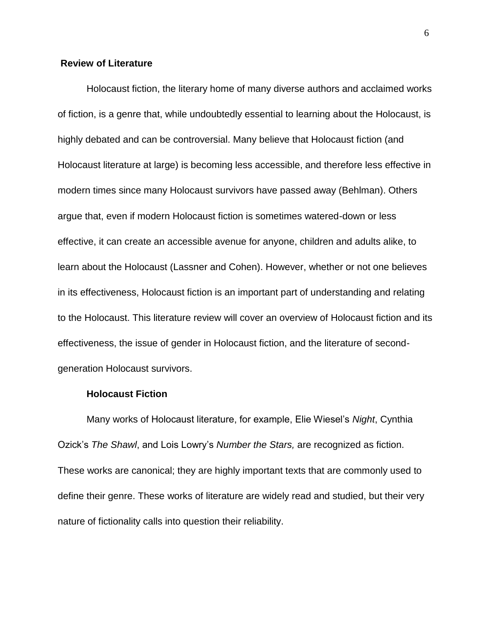#### **Review of Literature**

Holocaust fiction, the literary home of many diverse authors and acclaimed works of fiction, is a genre that, while undoubtedly essential to learning about the Holocaust, is highly debated and can be controversial. Many believe that Holocaust fiction (and Holocaust literature at large) is becoming less accessible, and therefore less effective in modern times since many Holocaust survivors have passed away (Behlman). Others argue that, even if modern Holocaust fiction is sometimes watered-down or less effective, it can create an accessible avenue for anyone, children and adults alike, to learn about the Holocaust (Lassner and Cohen). However, whether or not one believes in its effectiveness, Holocaust fiction is an important part of understanding and relating to the Holocaust. This literature review will cover an overview of Holocaust fiction and its effectiveness, the issue of gender in Holocaust fiction, and the literature of secondgeneration Holocaust survivors.

#### **Holocaust Fiction**

Many works of Holocaust literature, for example, Elie Wiesel's *Night*, Cynthia Ozick's *The Shawl*, and Lois Lowry's *Number the Stars,* are recognized as fiction. These works are canonical; they are highly important texts that are commonly used to define their genre. These works of literature are widely read and studied, but their very nature of fictionality calls into question their reliability.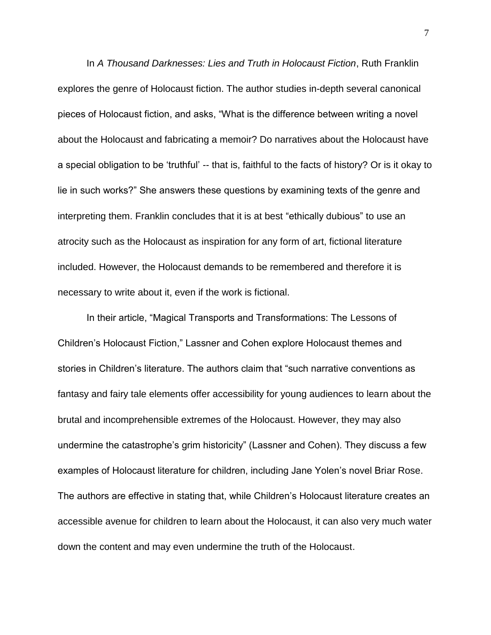In *A Thousand Darknesses: Lies and Truth in Holocaust Fiction*, Ruth Franklin explores the genre of Holocaust fiction. The author studies in-depth several canonical pieces of Holocaust fiction, and asks, "What is the difference between writing a novel about the Holocaust and fabricating a memoir? Do narratives about the Holocaust have a special obligation to be 'truthful' -- that is, faithful to the facts of history? Or is it okay to lie in such works?" She answers these questions by examining texts of the genre and interpreting them. Franklin concludes that it is at best "ethically dubious" to use an atrocity such as the Holocaust as inspiration for any form of art, fictional literature included. However, the Holocaust demands to be remembered and therefore it is necessary to write about it, even if the work is fictional.

In their article, "Magical Transports and Transformations: The Lessons of Children's Holocaust Fiction," Lassner and Cohen explore Holocaust themes and stories in Children's literature. The authors claim that "such narrative conventions as fantasy and fairy tale elements offer accessibility for young audiences to learn about the brutal and incomprehensible extremes of the Holocaust. However, they may also undermine the catastrophe's grim historicity" (Lassner and Cohen). They discuss a few examples of Holocaust literature for children, including Jane Yolen's novel Briar Rose. The authors are effective in stating that, while Children's Holocaust literature creates an accessible avenue for children to learn about the Holocaust, it can also very much water down the content and may even undermine the truth of the Holocaust.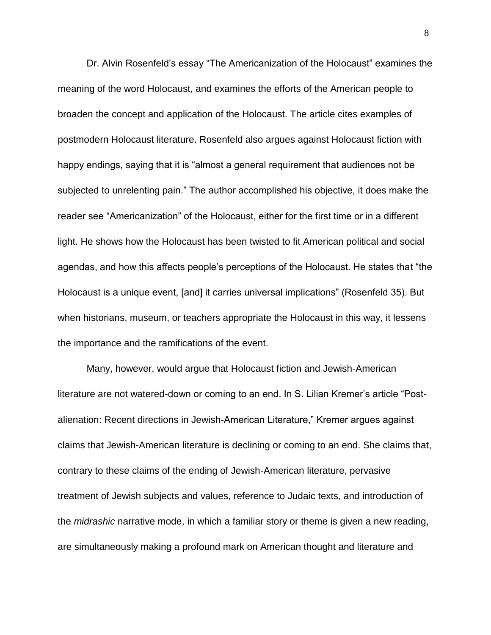Dr. Alvin Rosenfeld's essay "The Americanization of the Holocaust" examines the meaning of the word Holocaust, and examines the efforts of the American people to broaden the concept and application of the Holocaust. The article cites examples of postmodern Holocaust literature. Rosenfeld also argues against Holocaust fiction with happy endings, saying that it is "almost a general requirement that audiences not be subjected to unrelenting pain." The author accomplished his objective, it does make the reader see "Americanization" of the Holocaust, either for the first time or in a different light. He shows how the Holocaust has been twisted to fit American political and social agendas, and how this affects people's perceptions of the Holocaust. He states that "the Holocaust is a unique event, [and] it carries universal implications" (Rosenfeld 35). But when historians, museum, or teachers appropriate the Holocaust in this way, it lessens the importance and the ramifications of the event.

Many, however, would argue that Holocaust fiction and Jewish-American literature are not watered-down or coming to an end. In S. Lilian Kremer's article "Postalienation: Recent directions in Jewish-American Literature," Kremer argues against claims that Jewish-American literature is declining or coming to an end. She claims that, contrary to these claims of the ending of Jewish-American literature, pervasive treatment of Jewish subjects and values, reference to Judaic texts, and introduction of the *midrashic* narrative mode, in which a familiar story or theme is given a new reading, are simultaneously making a profound mark on American thought and literature and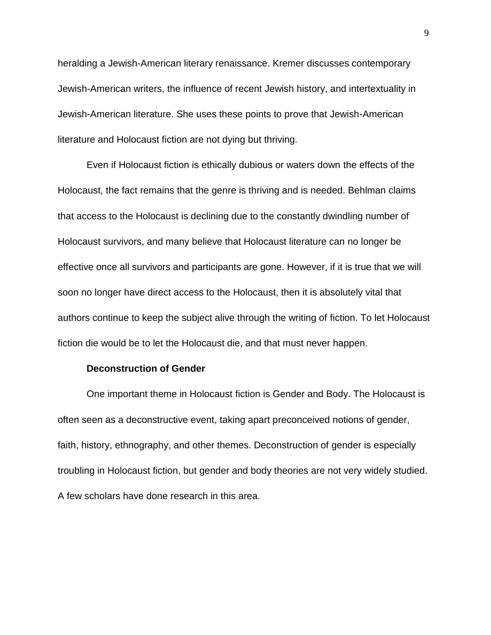heralding a Jewish-American literary renaissance. Kremer discusses contemporary Jewish-American writers, the influence of recent Jewish history, and intertextuality in Jewish-American literature. She uses these points to prove that Jewish-American literature and Holocaust fiction are not dying but thriving.

Even if Holocaust fiction is ethically dubious or waters down the effects of the Holocaust, the fact remains that the genre is thriving and is needed. Behlman claims that access to the Holocaust is declining due to the constantly dwindling number of Holocaust survivors, and many believe that Holocaust literature can no longer be effective once all survivors and participants are gone. However, if it is true that we will soon no longer have direct access to the Holocaust, then it is absolutely vital that authors continue to keep the subject alive through the writing of fiction. To let Holocaust fiction die would be to let the Holocaust die, and that must never happen.

#### **Deconstruction of Gender**

One important theme in Holocaust fiction is Gender and Body. The Holocaust is often seen as a deconstructive event, taking apart preconceived notions of gender, faith, history, ethnography, and other themes. Deconstruction of gender is especially troubling in Holocaust fiction, but gender and body theories are not very widely studied. A few scholars have done research in this area.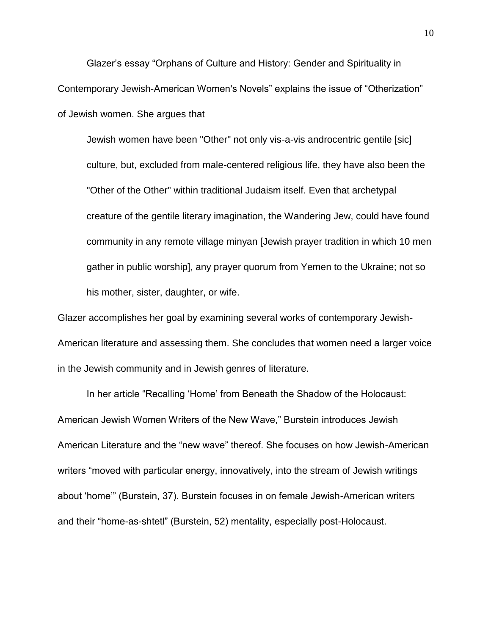Glazer's essay "Orphans of Culture and History: Gender and Spirituality in Contemporary Jewish-American Women's Novels" explains the issue of "Otherization" of Jewish women. She argues that

Jewish women have been "Other" not only vis-a-vis androcentric gentile [sic] culture, but, excluded from male-centered religious life, they have also been the "Other of the Other" within traditional Judaism itself. Even that archetypal creature of the gentile literary imagination, the Wandering Jew, could have found community in any remote village minyan [Jewish prayer tradition in which 10 men gather in public worship], any prayer quorum from Yemen to the Ukraine; not so his mother, sister, daughter, or wife.

Glazer accomplishes her goal by examining several works of contemporary Jewish-American literature and assessing them. She concludes that women need a larger voice in the Jewish community and in Jewish genres of literature.

In her article "Recalling 'Home' from Beneath the Shadow of the Holocaust: American Jewish Women Writers of the New Wave," Burstein introduces Jewish American Literature and the "new wave" thereof. She focuses on how Jewish-American writers "moved with particular energy, innovatively, into the stream of Jewish writings about 'home'" (Burstein, 37). Burstein focuses in on female Jewish-American writers and their "home-as-shtetl" (Burstein, 52) mentality, especially post-Holocaust.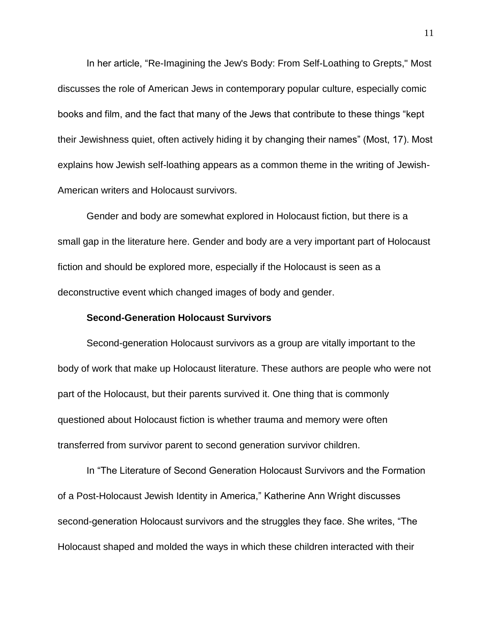In her article, "Re-Imagining the Jew's Body: From Self-Loathing to Grepts," Most discusses the role of American Jews in contemporary popular culture, especially comic books and film, and the fact that many of the Jews that contribute to these things "kept their Jewishness quiet, often actively hiding it by changing their names" (Most, 17). Most explains how Jewish self-loathing appears as a common theme in the writing of Jewish-American writers and Holocaust survivors.

Gender and body are somewhat explored in Holocaust fiction, but there is a small gap in the literature here. Gender and body are a very important part of Holocaust fiction and should be explored more, especially if the Holocaust is seen as a deconstructive event which changed images of body and gender.

#### **Second-Generation Holocaust Survivors**

Second-generation Holocaust survivors as a group are vitally important to the body of work that make up Holocaust literature. These authors are people who were not part of the Holocaust, but their parents survived it. One thing that is commonly questioned about Holocaust fiction is whether trauma and memory were often transferred from survivor parent to second generation survivor children.

In "The Literature of Second Generation Holocaust Survivors and the Formation of a Post-Holocaust Jewish Identity in America," Katherine Ann Wright discusses second-generation Holocaust survivors and the struggles they face. She writes, "The Holocaust shaped and molded the ways in which these children interacted with their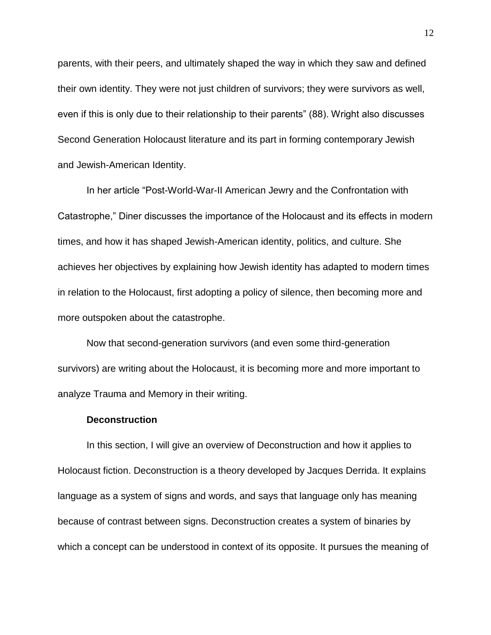parents, with their peers, and ultimately shaped the way in which they saw and defined their own identity. They were not just children of survivors; they were survivors as well, even if this is only due to their relationship to their parents" (88). Wright also discusses Second Generation Holocaust literature and its part in forming contemporary Jewish and Jewish-American Identity.

In her article "Post-World-War-II American Jewry and the Confrontation with Catastrophe," Diner discusses the importance of the Holocaust and its effects in modern times, and how it has shaped Jewish-American identity, politics, and culture. She achieves her objectives by explaining how Jewish identity has adapted to modern times in relation to the Holocaust, first adopting a policy of silence, then becoming more and more outspoken about the catastrophe.

Now that second-generation survivors (and even some third-generation survivors) are writing about the Holocaust, it is becoming more and more important to analyze Trauma and Memory in their writing.

#### **Deconstruction**

In this section, I will give an overview of Deconstruction and how it applies to Holocaust fiction. Deconstruction is a theory developed by Jacques Derrida. It explains language as a system of signs and words, and says that language only has meaning because of contrast between signs. Deconstruction creates a system of binaries by which a concept can be understood in context of its opposite. It pursues the meaning of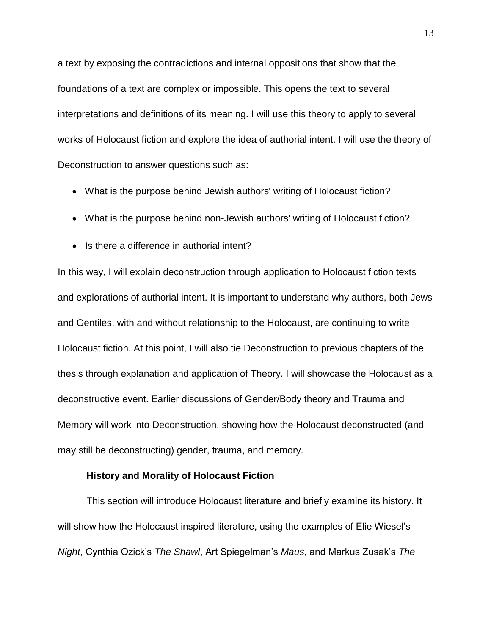a text by exposing the contradictions and internal oppositions that show that the foundations of a text are complex or impossible. This opens the text to several interpretations and definitions of its meaning. I will use this theory to apply to several works of Holocaust fiction and explore the idea of authorial intent. I will use the theory of Deconstruction to answer questions such as:

- What is the purpose behind Jewish authors' writing of Holocaust fiction?
- What is the purpose behind non-Jewish authors' writing of Holocaust fiction?
- Is there a difference in authorial intent?

In this way, I will explain deconstruction through application to Holocaust fiction texts and explorations of authorial intent. It is important to understand why authors, both Jews and Gentiles, with and without relationship to the Holocaust, are continuing to write Holocaust fiction. At this point, I will also tie Deconstruction to previous chapters of the thesis through explanation and application of Theory. I will showcase the Holocaust as a deconstructive event. Earlier discussions of Gender/Body theory and Trauma and Memory will work into Deconstruction, showing how the Holocaust deconstructed (and may still be deconstructing) gender, trauma, and memory.

#### **History and Morality of Holocaust Fiction**

This section will introduce Holocaust literature and briefly examine its history. It will show how the Holocaust inspired literature, using the examples of Elie Wiesel's *Night*, Cynthia Ozick's *The Shawl*, Art Spiegelman's *Maus,* and Markus Zusak's *The*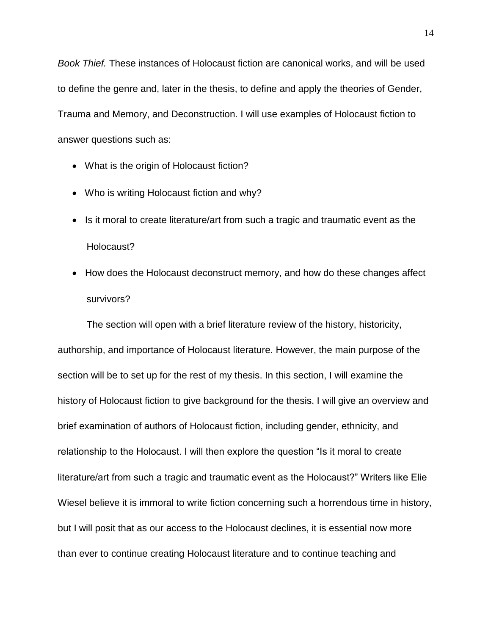*Book Thief.* These instances of Holocaust fiction are canonical works, and will be used to define the genre and, later in the thesis, to define and apply the theories of Gender, Trauma and Memory, and Deconstruction. I will use examples of Holocaust fiction to answer questions such as:

- What is the origin of Holocaust fiction?
- Who is writing Holocaust fiction and why?
- Is it moral to create literature/art from such a tragic and traumatic event as the Holocaust?
- How does the Holocaust deconstruct memory, and how do these changes affect survivors?

The section will open with a brief literature review of the history, historicity, authorship, and importance of Holocaust literature. However, the main purpose of the section will be to set up for the rest of my thesis. In this section, I will examine the history of Holocaust fiction to give background for the thesis. I will give an overview and brief examination of authors of Holocaust fiction, including gender, ethnicity, and relationship to the Holocaust. I will then explore the question "Is it moral to create literature/art from such a tragic and traumatic event as the Holocaust?" Writers like Elie Wiesel believe it is immoral to write fiction concerning such a horrendous time in history, but I will posit that as our access to the Holocaust declines, it is essential now more than ever to continue creating Holocaust literature and to continue teaching and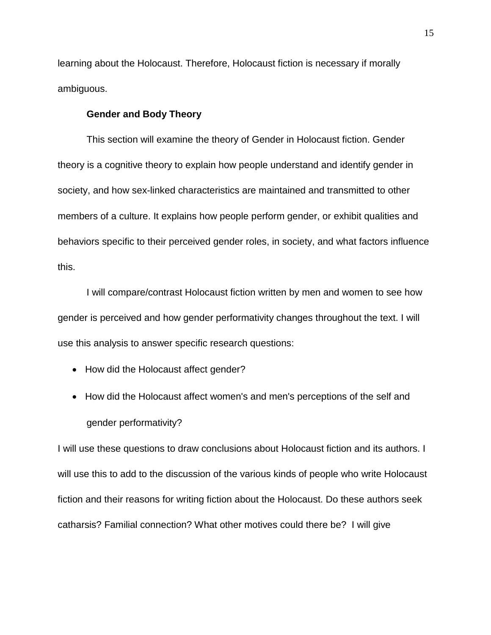learning about the Holocaust. Therefore, Holocaust fiction is necessary if morally ambiguous.

#### **Gender and Body Theory**

This section will examine the theory of Gender in Holocaust fiction. Gender theory is a cognitive theory to explain how people understand and identify gender in society, and how sex-linked characteristics are maintained and transmitted to other members of a culture. It explains how people perform gender, or exhibit qualities and behaviors specific to their perceived gender roles, in society, and what factors influence this.

I will compare/contrast Holocaust fiction written by men and women to see how gender is perceived and how gender performativity changes throughout the text. I will use this analysis to answer specific research questions:

- How did the Holocaust affect gender?
- How did the Holocaust affect women's and men's perceptions of the self and gender performativity?

I will use these questions to draw conclusions about Holocaust fiction and its authors. I will use this to add to the discussion of the various kinds of people who write Holocaust fiction and their reasons for writing fiction about the Holocaust. Do these authors seek catharsis? Familial connection? What other motives could there be? I will give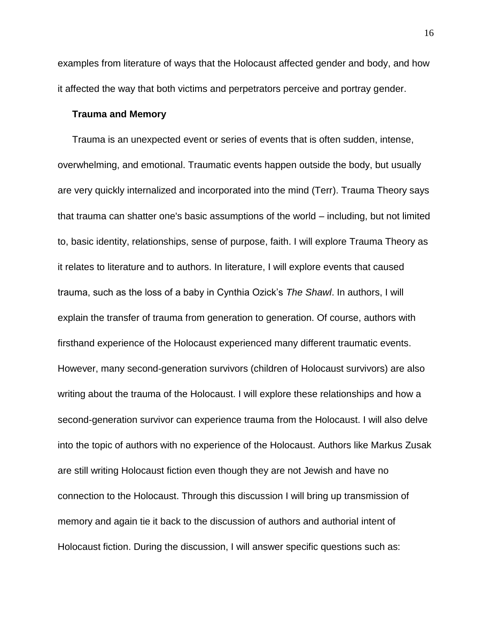examples from literature of ways that the Holocaust affected gender and body, and how it affected the way that both victims and perpetrators perceive and portray gender.

#### **Trauma and Memory**

Trauma is an unexpected event or series of events that is often sudden, intense, overwhelming, and emotional. Traumatic events happen outside the body, but usually are very quickly internalized and incorporated into the mind (Terr). Trauma Theory says that trauma can shatter one's basic assumptions of the world – including, but not limited to, basic identity, relationships, sense of purpose, faith. I will explore Trauma Theory as it relates to literature and to authors. In literature, I will explore events that caused trauma, such as the loss of a baby in Cynthia Ozick's *The Shawl*. In authors, I will explain the transfer of trauma from generation to generation. Of course, authors with firsthand experience of the Holocaust experienced many different traumatic events. However, many second-generation survivors (children of Holocaust survivors) are also writing about the trauma of the Holocaust. I will explore these relationships and how a second-generation survivor can experience trauma from the Holocaust. I will also delve into the topic of authors with no experience of the Holocaust. Authors like Markus Zusak are still writing Holocaust fiction even though they are not Jewish and have no connection to the Holocaust. Through this discussion I will bring up transmission of memory and again tie it back to the discussion of authors and authorial intent of Holocaust fiction. During the discussion, I will answer specific questions such as: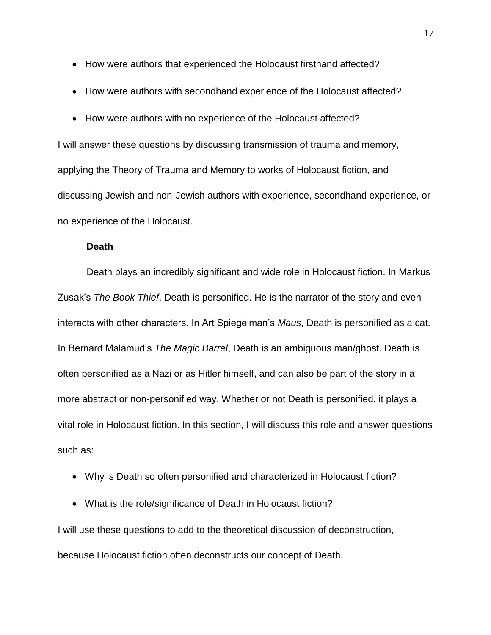- How were authors that experienced the Holocaust firsthand affected?
- How were authors with secondhand experience of the Holocaust affected?
- How were authors with no experience of the Holocaust affected?

I will answer these questions by discussing transmission of trauma and memory, applying the Theory of Trauma and Memory to works of Holocaust fiction, and discussing Jewish and non-Jewish authors with experience, secondhand experience, or no experience of the Holocaust.

#### **Death**

Death plays an incredibly significant and wide role in Holocaust fiction. In Markus Zusak's *The Book Thief*, Death is personified. He is the narrator of the story and even interacts with other characters. In Art Spiegelman's *Maus*, Death is personified as a cat. In Bernard Malamud's *The Magic Barrel*, Death is an ambiguous man/ghost. Death is often personified as a Nazi or as Hitler himself, and can also be part of the story in a more abstract or non-personified way. Whether or not Death is personified, it plays a vital role in Holocaust fiction. In this section, I will discuss this role and answer questions such as:

- Why is Death so often personified and characterized in Holocaust fiction?
- What is the role/significance of Death in Holocaust fiction?

I will use these questions to add to the theoretical discussion of deconstruction, because Holocaust fiction often deconstructs our concept of Death.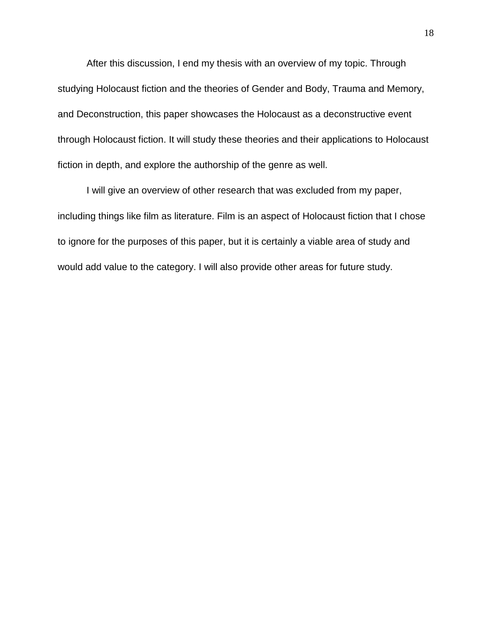After this discussion, I end my thesis with an overview of my topic. Through studying Holocaust fiction and the theories of Gender and Body, Trauma and Memory, and Deconstruction, this paper showcases the Holocaust as a deconstructive event through Holocaust fiction. It will study these theories and their applications to Holocaust fiction in depth, and explore the authorship of the genre as well.

I will give an overview of other research that was excluded from my paper, including things like film as literature. Film is an aspect of Holocaust fiction that I chose to ignore for the purposes of this paper, but it is certainly a viable area of study and would add value to the category. I will also provide other areas for future study.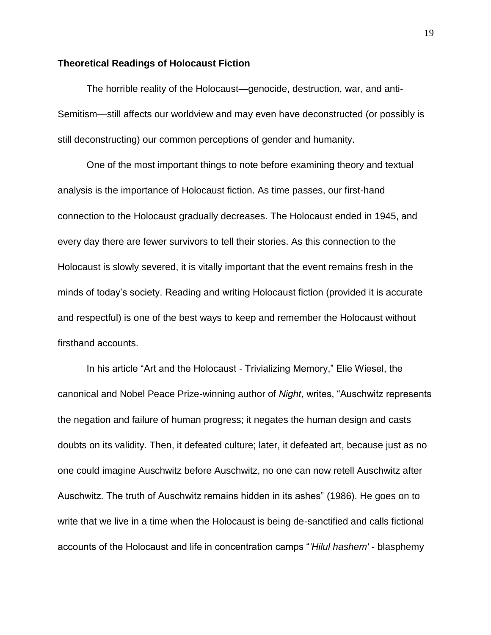#### **Theoretical Readings of Holocaust Fiction**

The horrible reality of the Holocaust—genocide, destruction, war, and anti-Semitism—still affects our worldview and may even have deconstructed (or possibly is still deconstructing) our common perceptions of gender and humanity.

One of the most important things to note before examining theory and textual analysis is the importance of Holocaust fiction. As time passes, our first-hand connection to the Holocaust gradually decreases. The Holocaust ended in 1945, and every day there are fewer survivors to tell their stories. As this connection to the Holocaust is slowly severed, it is vitally important that the event remains fresh in the minds of today's society. Reading and writing Holocaust fiction (provided it is accurate and respectful) is one of the best ways to keep and remember the Holocaust without firsthand accounts.

In his article "Art and the Holocaust - Trivializing Memory," Elie Wiesel, the canonical and Nobel Peace Prize-winning author of *Night*, writes, "Auschwitz represents the negation and failure of human progress; it negates the human design and casts doubts on its validity. Then, it defeated culture; later, it defeated art, because just as no one could imagine Auschwitz before Auschwitz, no one can now retell Auschwitz after Auschwitz. The truth of Auschwitz remains hidden in its ashes" (1986). He goes on to write that we live in a time when the Holocaust is being de-sanctified and calls fictional accounts of the Holocaust and life in concentration camps "*'Hilul hashem'* - blasphemy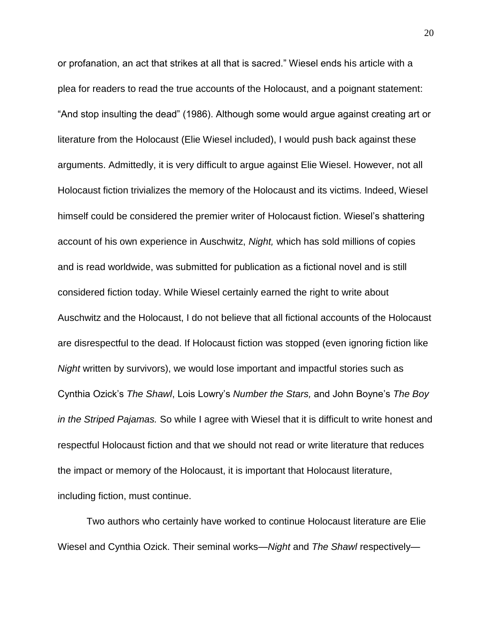or profanation, an act that strikes at all that is sacred." Wiesel ends his article with a plea for readers to read the true accounts of the Holocaust, and a poignant statement: "And stop insulting the dead" (1986). Although some would argue against creating art or literature from the Holocaust (Elie Wiesel included), I would push back against these arguments. Admittedly, it is very difficult to argue against Elie Wiesel. However, not all Holocaust fiction trivializes the memory of the Holocaust and its victims. Indeed, Wiesel himself could be considered the premier writer of Holocaust fiction. Wiesel's shattering account of his own experience in Auschwitz, *Night,* which has sold millions of copies and is read worldwide, was submitted for publication as a fictional novel and is still considered fiction today. While Wiesel certainly earned the right to write about Auschwitz and the Holocaust, I do not believe that all fictional accounts of the Holocaust are disrespectful to the dead. If Holocaust fiction was stopped (even ignoring fiction like *Night* written by survivors), we would lose important and impactful stories such as Cynthia Ozick's *The Shawl*, Lois Lowry's *Number the Stars,* and John Boyne's *The Boy in the Striped Pajamas.* So while I agree with Wiesel that it is difficult to write honest and respectful Holocaust fiction and that we should not read or write literature that reduces the impact or memory of the Holocaust, it is important that Holocaust literature, including fiction, must continue.

Two authors who certainly have worked to continue Holocaust literature are Elie Wiesel and Cynthia Ozick. Their seminal works—*Night* and *The Shawl* respectively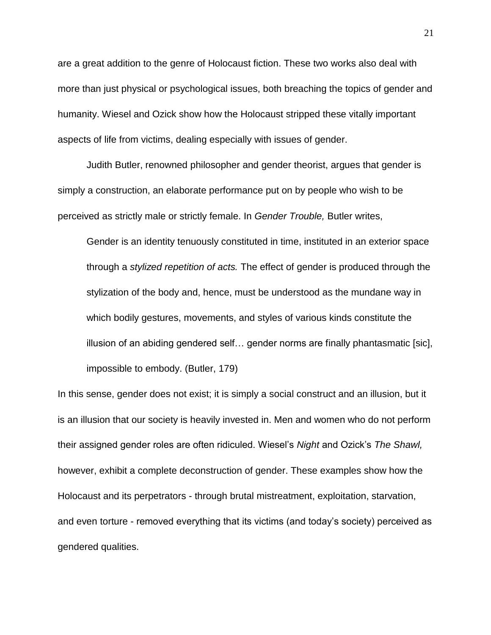are a great addition to the genre of Holocaust fiction. These two works also deal with more than just physical or psychological issues, both breaching the topics of gender and humanity. Wiesel and Ozick show how the Holocaust stripped these vitally important aspects of life from victims, dealing especially with issues of gender.

Judith Butler, renowned philosopher and gender theorist, argues that gender is simply a construction, an elaborate performance put on by people who wish to be perceived as strictly male or strictly female. In *Gender Trouble,* Butler writes,

Gender is an identity tenuously constituted in time, instituted in an exterior space through a *stylized repetition of acts.* The effect of gender is produced through the stylization of the body and, hence, must be understood as the mundane way in which bodily gestures, movements, and styles of various kinds constitute the illusion of an abiding gendered self… gender norms are finally phantasmatic [sic], impossible to embody. (Butler, 179)

In this sense, gender does not exist; it is simply a social construct and an illusion, but it is an illusion that our society is heavily invested in. Men and women who do not perform their assigned gender roles are often ridiculed. Wiesel's *Night* and Ozick's *The Shawl,* however, exhibit a complete deconstruction of gender. These examples show how the Holocaust and its perpetrators - through brutal mistreatment, exploitation, starvation, and even torture - removed everything that its victims (and today's society) perceived as gendered qualities.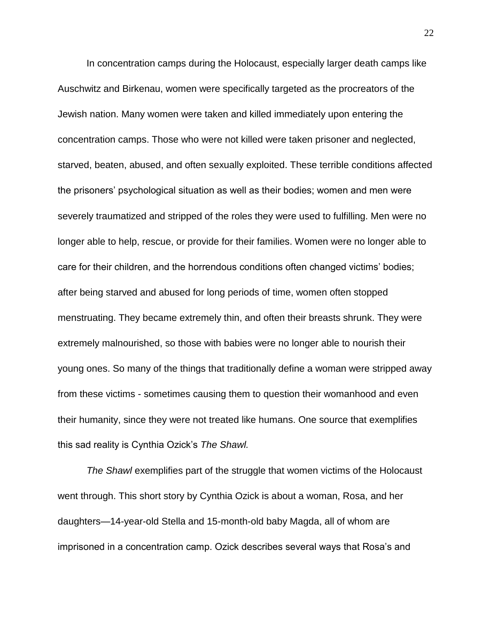In concentration camps during the Holocaust, especially larger death camps like Auschwitz and Birkenau, women were specifically targeted as the procreators of the Jewish nation. Many women were taken and killed immediately upon entering the concentration camps. Those who were not killed were taken prisoner and neglected, starved, beaten, abused, and often sexually exploited. These terrible conditions affected the prisoners' psychological situation as well as their bodies; women and men were severely traumatized and stripped of the roles they were used to fulfilling. Men were no longer able to help, rescue, or provide for their families. Women were no longer able to care for their children, and the horrendous conditions often changed victims' bodies; after being starved and abused for long periods of time, women often stopped menstruating. They became extremely thin, and often their breasts shrunk. They were extremely malnourished, so those with babies were no longer able to nourish their young ones. So many of the things that traditionally define a woman were stripped away from these victims - sometimes causing them to question their womanhood and even their humanity, since they were not treated like humans. One source that exemplifies this sad reality is Cynthia Ozick's *The Shawl.*

*The Shawl* exemplifies part of the struggle that women victims of the Holocaust went through. This short story by Cynthia Ozick is about a woman, Rosa, and her daughters—14-year-old Stella and 15-month-old baby Magda, all of whom are imprisoned in a concentration camp. Ozick describes several ways that Rosa's and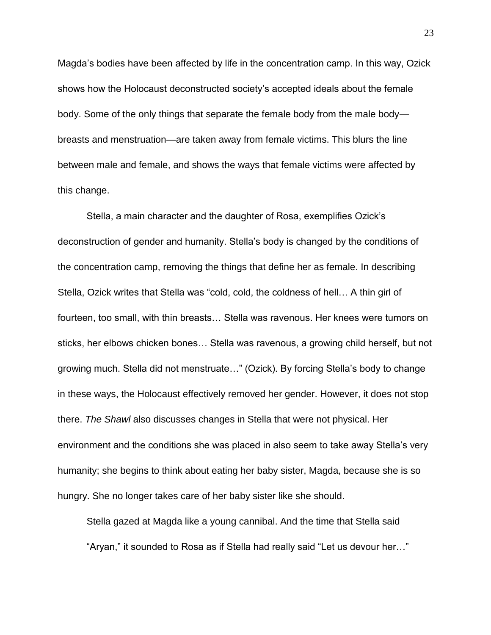Magda's bodies have been affected by life in the concentration camp. In this way, Ozick shows how the Holocaust deconstructed society's accepted ideals about the female body. Some of the only things that separate the female body from the male body breasts and menstruation—are taken away from female victims. This blurs the line between male and female, and shows the ways that female victims were affected by this change.

Stella, a main character and the daughter of Rosa, exemplifies Ozick's deconstruction of gender and humanity. Stella's body is changed by the conditions of the concentration camp, removing the things that define her as female. In describing Stella, Ozick writes that Stella was "cold, cold, the coldness of hell… A thin girl of fourteen, too small, with thin breasts… Stella was ravenous. Her knees were tumors on sticks, her elbows chicken bones… Stella was ravenous, a growing child herself, but not growing much. Stella did not menstruate…" (Ozick). By forcing Stella's body to change in these ways, the Holocaust effectively removed her gender. However, it does not stop there. *The Shawl* also discusses changes in Stella that were not physical. Her environment and the conditions she was placed in also seem to take away Stella's very humanity; she begins to think about eating her baby sister, Magda, because she is so hungry. She no longer takes care of her baby sister like she should.

Stella gazed at Magda like a young cannibal. And the time that Stella said "Aryan," it sounded to Rosa as if Stella had really said "Let us devour her…"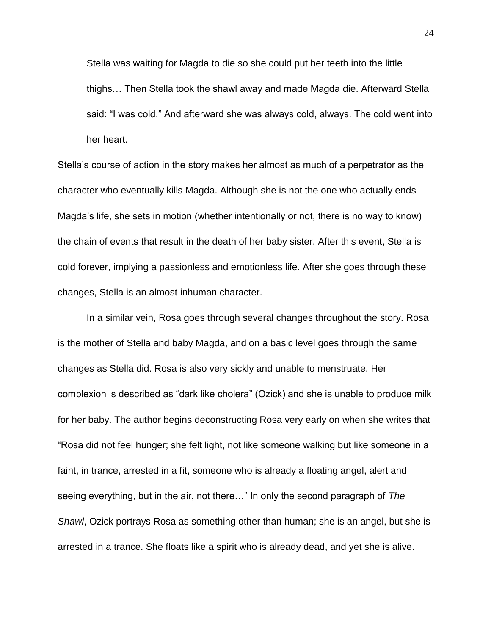Stella was waiting for Magda to die so she could put her teeth into the little thighs… Then Stella took the shawl away and made Magda die. Afterward Stella said: "I was cold." And afterward she was always cold, always. The cold went into her heart.

Stella's course of action in the story makes her almost as much of a perpetrator as the character who eventually kills Magda. Although she is not the one who actually ends Magda's life, she sets in motion (whether intentionally or not, there is no way to know) the chain of events that result in the death of her baby sister. After this event, Stella is cold forever, implying a passionless and emotionless life. After she goes through these changes, Stella is an almost inhuman character.

In a similar vein, Rosa goes through several changes throughout the story. Rosa is the mother of Stella and baby Magda, and on a basic level goes through the same changes as Stella did. Rosa is also very sickly and unable to menstruate. Her complexion is described as "dark like cholera" (Ozick) and she is unable to produce milk for her baby. The author begins deconstructing Rosa very early on when she writes that "Rosa did not feel hunger; she felt light, not like someone walking but like someone in a faint, in trance, arrested in a fit, someone who is already a floating angel, alert and seeing everything, but in the air, not there…" In only the second paragraph of *The Shawl*, Ozick portrays Rosa as something other than human; she is an angel, but she is arrested in a trance. She floats like a spirit who is already dead, and yet she is alive.

24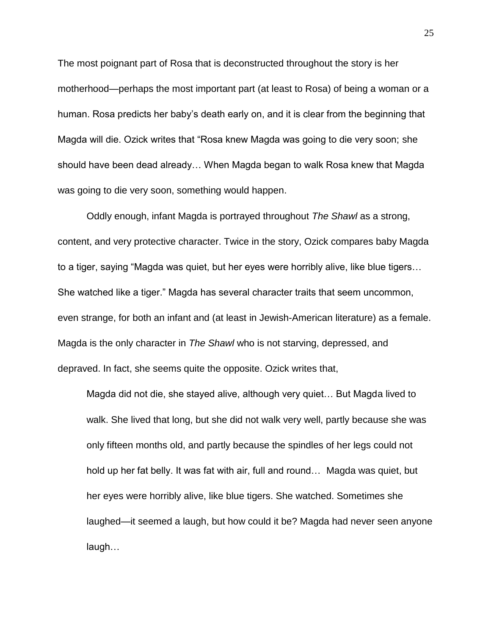The most poignant part of Rosa that is deconstructed throughout the story is her motherhood—perhaps the most important part (at least to Rosa) of being a woman or a human. Rosa predicts her baby's death early on, and it is clear from the beginning that Magda will die. Ozick writes that "Rosa knew Magda was going to die very soon; she should have been dead already… When Magda began to walk Rosa knew that Magda was going to die very soon, something would happen.

Oddly enough, infant Magda is portrayed throughout *The Shawl* as a strong, content, and very protective character. Twice in the story, Ozick compares baby Magda to a tiger, saying "Magda was quiet, but her eyes were horribly alive, like blue tigers… She watched like a tiger." Magda has several character traits that seem uncommon, even strange, for both an infant and (at least in Jewish-American literature) as a female. Magda is the only character in *The Shawl* who is not starving, depressed, and depraved. In fact, she seems quite the opposite. Ozick writes that,

Magda did not die, she stayed alive, although very quiet… But Magda lived to walk. She lived that long, but she did not walk very well, partly because she was only fifteen months old, and partly because the spindles of her legs could not hold up her fat belly. It was fat with air, full and round… Magda was quiet, but her eyes were horribly alive, like blue tigers. She watched. Sometimes she laughed—it seemed a laugh, but how could it be? Magda had never seen anyone laugh…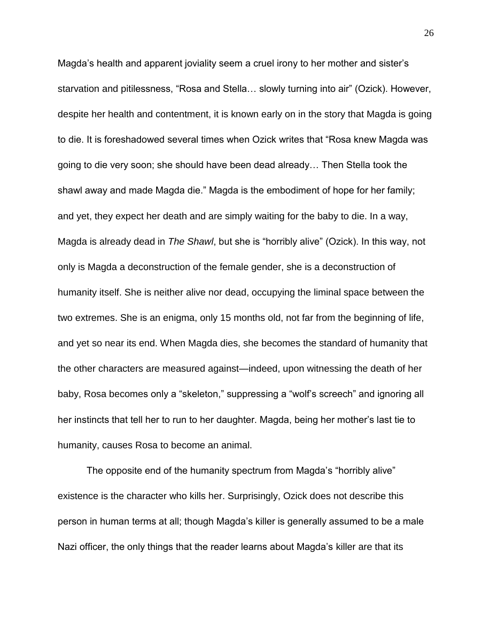Magda's health and apparent joviality seem a cruel irony to her mother and sister's starvation and pitilessness, "Rosa and Stella… slowly turning into air" (Ozick). However, despite her health and contentment, it is known early on in the story that Magda is going to die. It is foreshadowed several times when Ozick writes that "Rosa knew Magda was going to die very soon; she should have been dead already… Then Stella took the shawl away and made Magda die." Magda is the embodiment of hope for her family; and yet, they expect her death and are simply waiting for the baby to die. In a way, Magda is already dead in *The Shawl*, but she is "horribly alive" (Ozick). In this way, not only is Magda a deconstruction of the female gender, she is a deconstruction of humanity itself. She is neither alive nor dead, occupying the liminal space between the two extremes. She is an enigma, only 15 months old, not far from the beginning of life, and yet so near its end. When Magda dies, she becomes the standard of humanity that the other characters are measured against—indeed, upon witnessing the death of her baby, Rosa becomes only a "skeleton," suppressing a "wolf's screech" and ignoring all her instincts that tell her to run to her daughter. Magda, being her mother's last tie to humanity, causes Rosa to become an animal.

The opposite end of the humanity spectrum from Magda's "horribly alive" existence is the character who kills her. Surprisingly, Ozick does not describe this person in human terms at all; though Magda's killer is generally assumed to be a male Nazi officer, the only things that the reader learns about Magda's killer are that its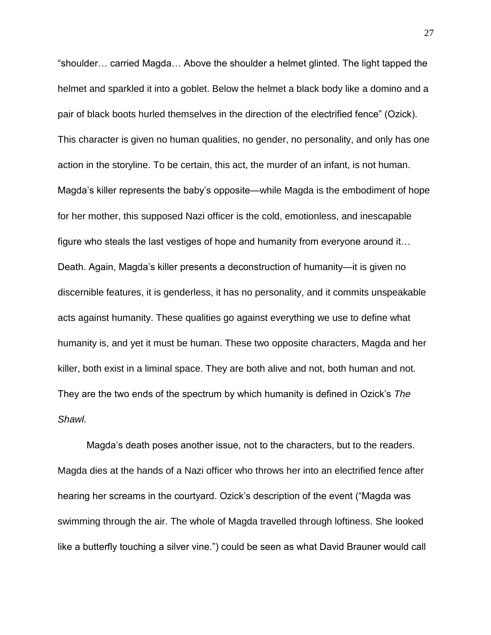"shoulder… carried Magda… Above the shoulder a helmet glinted. The light tapped the helmet and sparkled it into a goblet. Below the helmet a black body like a domino and a pair of black boots hurled themselves in the direction of the electrified fence" (Ozick). This character is given no human qualities, no gender, no personality, and only has one action in the storyline. To be certain, this act, the murder of an infant, is not human. Magda's killer represents the baby's opposite—while Magda is the embodiment of hope for her mother, this supposed Nazi officer is the cold, emotionless, and inescapable figure who steals the last vestiges of hope and humanity from everyone around it… Death. Again, Magda's killer presents a deconstruction of humanity—it is given no discernible features, it is genderless, it has no personality, and it commits unspeakable acts against humanity. These qualities go against everything we use to define what humanity is, and yet it must be human. These two opposite characters, Magda and her killer, both exist in a liminal space. They are both alive and not, both human and not. They are the two ends of the spectrum by which humanity is defined in Ozick's *The Shawl.*

Magda's death poses another issue, not to the characters, but to the readers. Magda dies at the hands of a Nazi officer who throws her into an electrified fence after hearing her screams in the courtyard. Ozick's description of the event ("Magda was swimming through the air. The whole of Magda travelled through loftiness. She looked like a butterfly touching a silver vine.") could be seen as what David Brauner would call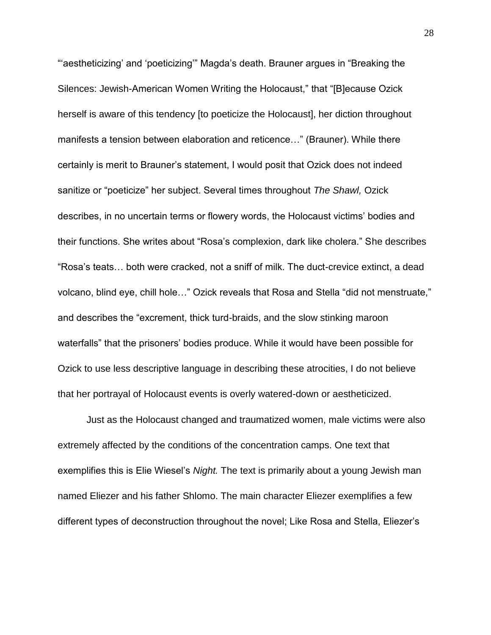"'aestheticizing' and 'poeticizing'" Magda's death. Brauner argues in "Breaking the Silences: Jewish-American Women Writing the Holocaust," that "[B]ecause Ozick herself is aware of this tendency [to poeticize the Holocaust], her diction throughout manifests a tension between elaboration and reticence…" (Brauner). While there certainly is merit to Brauner's statement, I would posit that Ozick does not indeed sanitize or "poeticize" her subject. Several times throughout *The Shawl,* Ozick describes, in no uncertain terms or flowery words, the Holocaust victims' bodies and their functions. She writes about "Rosa's complexion, dark like cholera." She describes "Rosa's teats… both were cracked, not a sniff of milk. The duct-crevice extinct, a dead volcano, blind eye, chill hole…" Ozick reveals that Rosa and Stella "did not menstruate," and describes the "excrement, thick turd-braids, and the slow stinking maroon waterfalls" that the prisoners' bodies produce. While it would have been possible for Ozick to use less descriptive language in describing these atrocities, I do not believe that her portrayal of Holocaust events is overly watered-down or aestheticized.

Just as the Holocaust changed and traumatized women, male victims were also extremely affected by the conditions of the concentration camps. One text that exemplifies this is Elie Wiesel's *Night.* The text is primarily about a young Jewish man named Eliezer and his father Shlomo. The main character Eliezer exemplifies a few different types of deconstruction throughout the novel; Like Rosa and Stella, Eliezer's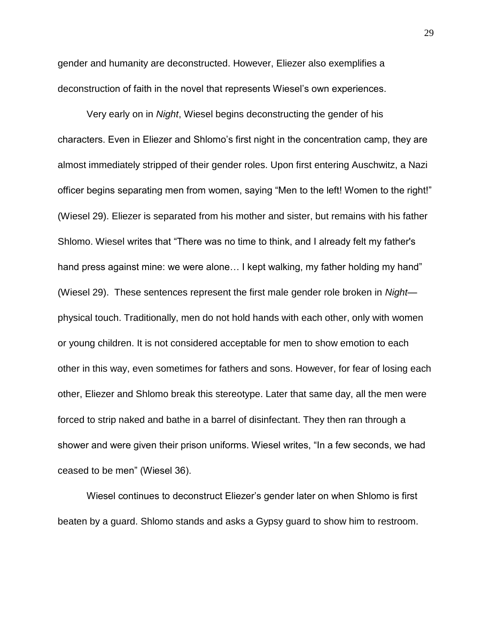gender and humanity are deconstructed. However, Eliezer also exemplifies a deconstruction of faith in the novel that represents Wiesel's own experiences.

Very early on in *Night*, Wiesel begins deconstructing the gender of his characters. Even in Eliezer and Shlomo's first night in the concentration camp, they are almost immediately stripped of their gender roles. Upon first entering Auschwitz, a Nazi officer begins separating men from women, saying "Men to the left! Women to the right!" (Wiesel 29). Eliezer is separated from his mother and sister, but remains with his father Shlomo. Wiesel writes that "There was no time to think, and I already felt my father's hand press against mine: we were alone... I kept walking, my father holding my hand" (Wiesel 29). These sentences represent the first male gender role broken in *Night* physical touch. Traditionally, men do not hold hands with each other, only with women or young children. It is not considered acceptable for men to show emotion to each other in this way, even sometimes for fathers and sons. However, for fear of losing each other, Eliezer and Shlomo break this stereotype. Later that same day, all the men were forced to strip naked and bathe in a barrel of disinfectant. They then ran through a shower and were given their prison uniforms. Wiesel writes, "In a few seconds, we had ceased to be men" (Wiesel 36).

Wiesel continues to deconstruct Eliezer's gender later on when Shlomo is first beaten by a guard. Shlomo stands and asks a Gypsy guard to show him to restroom.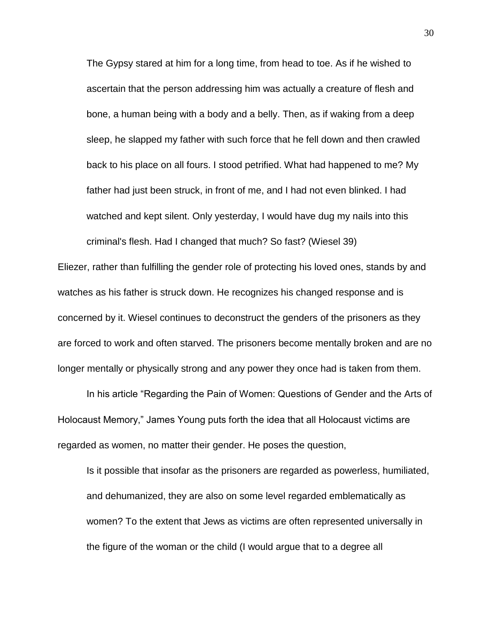The Gypsy stared at him for a long time, from head to toe. As if he wished to ascertain that the person addressing him was actually a creature of flesh and bone, a human being with a body and a belly. Then, as if waking from a deep sleep, he slapped my father with such force that he fell down and then crawled back to his place on all fours. I stood petrified. What had happened to me? My father had just been struck, in front of me, and I had not even blinked. I had watched and kept silent. Only yesterday, I would have dug my nails into this criminal's flesh. Had I changed that much? So fast? (Wiesel 39)

Eliezer, rather than fulfilling the gender role of protecting his loved ones, stands by and watches as his father is struck down. He recognizes his changed response and is concerned by it. Wiesel continues to deconstruct the genders of the prisoners as they are forced to work and often starved. The prisoners become mentally broken and are no longer mentally or physically strong and any power they once had is taken from them.

In his article "Regarding the Pain of Women: Questions of Gender and the Arts of Holocaust Memory," James Young puts forth the idea that all Holocaust victims are regarded as women, no matter their gender. He poses the question,

Is it possible that insofar as the prisoners are regarded as powerless, humiliated, and dehumanized, they are also on some level regarded emblematically as women? To the extent that Jews as victims are often represented universally in the figure of the woman or the child (I would argue that to a degree all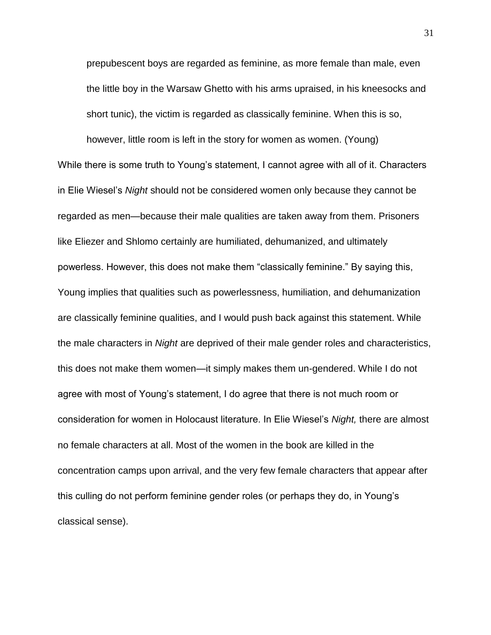prepubescent boys are regarded as feminine, as more female than male, even the little boy in the Warsaw Ghetto with his arms upraised, in his kneesocks and short tunic), the victim is regarded as classically feminine. When this is so,

however, little room is left in the story for women as women. (Young) While there is some truth to Young's statement, I cannot agree with all of it. Characters in Elie Wiesel's *Night* should not be considered women only because they cannot be regarded as men—because their male qualities are taken away from them. Prisoners like Eliezer and Shlomo certainly are humiliated, dehumanized, and ultimately powerless. However, this does not make them "classically feminine." By saying this, Young implies that qualities such as powerlessness, humiliation, and dehumanization are classically feminine qualities, and I would push back against this statement. While the male characters in *Night* are deprived of their male gender roles and characteristics, this does not make them women—it simply makes them un-gendered. While I do not agree with most of Young's statement, I do agree that there is not much room or consideration for women in Holocaust literature. In Elie Wiesel's *Night,* there are almost no female characters at all. Most of the women in the book are killed in the concentration camps upon arrival, and the very few female characters that appear after this culling do not perform feminine gender roles (or perhaps they do, in Young's classical sense).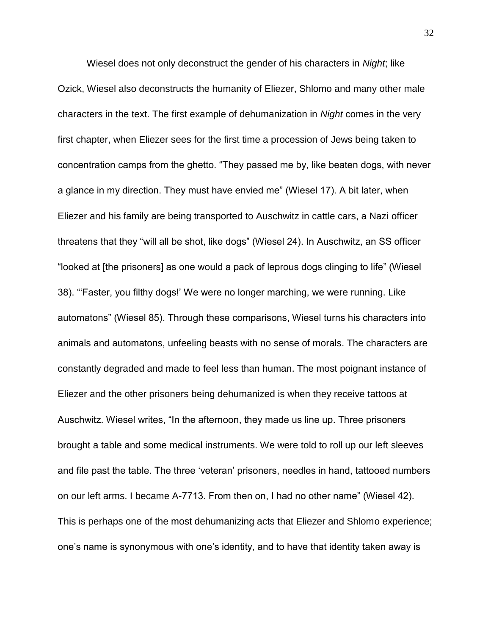Wiesel does not only deconstruct the gender of his characters in *Night*; like Ozick, Wiesel also deconstructs the humanity of Eliezer, Shlomo and many other male characters in the text. The first example of dehumanization in *Night* comes in the very first chapter, when Eliezer sees for the first time a procession of Jews being taken to concentration camps from the ghetto. "They passed me by, like beaten dogs, with never a glance in my direction. They must have envied me" (Wiesel 17). A bit later, when Eliezer and his family are being transported to Auschwitz in cattle cars, a Nazi officer threatens that they "will all be shot, like dogs" (Wiesel 24). In Auschwitz, an SS officer "looked at [the prisoners] as one would a pack of leprous dogs clinging to life" (Wiesel 38). "'Faster, you filthy dogs!' We were no longer marching, we were running. Like automatons" (Wiesel 85). Through these comparisons, Wiesel turns his characters into animals and automatons, unfeeling beasts with no sense of morals. The characters are constantly degraded and made to feel less than human. The most poignant instance of Eliezer and the other prisoners being dehumanized is when they receive tattoos at Auschwitz. Wiesel writes, "In the afternoon, they made us line up. Three prisoners brought a table and some medical instruments. We were told to roll up our left sleeves and file past the table. The three 'veteran' prisoners, needles in hand, tattooed numbers on our left arms. I became A-7713. From then on, I had no other name" (Wiesel 42). This is perhaps one of the most dehumanizing acts that Eliezer and Shlomo experience; one's name is synonymous with one's identity, and to have that identity taken away is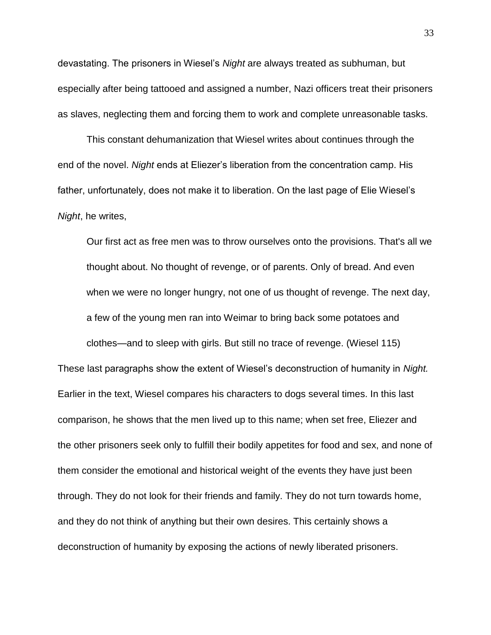devastating. The prisoners in Wiesel's *Night* are always treated as subhuman, but especially after being tattooed and assigned a number, Nazi officers treat their prisoners as slaves, neglecting them and forcing them to work and complete unreasonable tasks.

This constant dehumanization that Wiesel writes about continues through the end of the novel. *Night* ends at Eliezer's liberation from the concentration camp. His father, unfortunately, does not make it to liberation. On the last page of Elie Wiesel's *Night*, he writes,

Our first act as free men was to throw ourselves onto the provisions. That's all we thought about. No thought of revenge, or of parents. Only of bread. And even when we were no longer hungry, not one of us thought of revenge. The next day, a few of the young men ran into Weimar to bring back some potatoes and

These last paragraphs show the extent of Wiesel's deconstruction of humanity in *Night.* Earlier in the text, Wiesel compares his characters to dogs several times. In this last comparison, he shows that the men lived up to this name; when set free, Eliezer and the other prisoners seek only to fulfill their bodily appetites for food and sex, and none of them consider the emotional and historical weight of the events they have just been through. They do not look for their friends and family. They do not turn towards home, and they do not think of anything but their own desires. This certainly shows a deconstruction of humanity by exposing the actions of newly liberated prisoners.

clothes—and to sleep with girls. But still no trace of revenge. (Wiesel 115)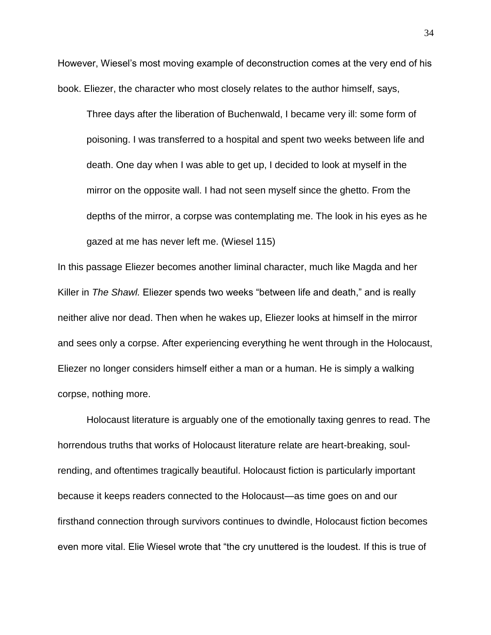However, Wiesel's most moving example of deconstruction comes at the very end of his book. Eliezer, the character who most closely relates to the author himself, says,

Three days after the liberation of Buchenwald, I became very ill: some form of poisoning. I was transferred to a hospital and spent two weeks between life and death. One day when I was able to get up, I decided to look at myself in the mirror on the opposite wall. I had not seen myself since the ghetto. From the depths of the mirror, a corpse was contemplating me. The look in his eyes as he gazed at me has never left me. (Wiesel 115)

In this passage Eliezer becomes another liminal character, much like Magda and her Killer in *The Shawl.* Eliezer spends two weeks "between life and death," and is really neither alive nor dead. Then when he wakes up, Eliezer looks at himself in the mirror and sees only a corpse. After experiencing everything he went through in the Holocaust, Eliezer no longer considers himself either a man or a human. He is simply a walking corpse, nothing more.

Holocaust literature is arguably one of the emotionally taxing genres to read. The horrendous truths that works of Holocaust literature relate are heart-breaking, soulrending, and oftentimes tragically beautiful. Holocaust fiction is particularly important because it keeps readers connected to the Holocaust—as time goes on and our firsthand connection through survivors continues to dwindle, Holocaust fiction becomes even more vital. Elie Wiesel wrote that "the cry unuttered is the loudest. If this is true of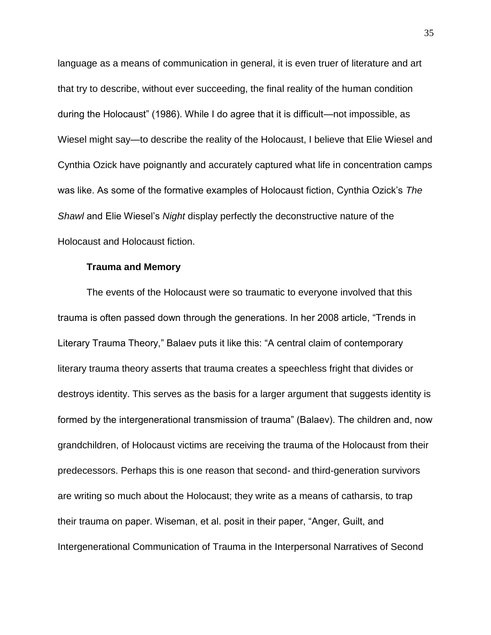language as a means of communication in general, it is even truer of literature and art that try to describe, without ever succeeding, the final reality of the human condition during the Holocaust" (1986). While I do agree that it is difficult—not impossible, as Wiesel might say—to describe the reality of the Holocaust, I believe that Elie Wiesel and Cynthia Ozick have poignantly and accurately captured what life in concentration camps was like. As some of the formative examples of Holocaust fiction, Cynthia Ozick's *The Shawl* and Elie Wiesel's *Night* display perfectly the deconstructive nature of the Holocaust and Holocaust fiction.

#### **Trauma and Memory**

The events of the Holocaust were so traumatic to everyone involved that this trauma is often passed down through the generations. In her 2008 article, "Trends in Literary Trauma Theory," Balaev puts it like this: "A central claim of contemporary literary trauma theory asserts that trauma creates a speechless fright that divides or destroys identity. This serves as the basis for a larger argument that suggests identity is formed by the intergenerational transmission of trauma" (Balaev). The children and, now grandchildren, of Holocaust victims are receiving the trauma of the Holocaust from their predecessors. Perhaps this is one reason that second- and third-generation survivors are writing so much about the Holocaust; they write as a means of catharsis, to trap their trauma on paper. Wiseman, et al. posit in their paper, "Anger, Guilt, and Intergenerational Communication of Trauma in the Interpersonal Narratives of Second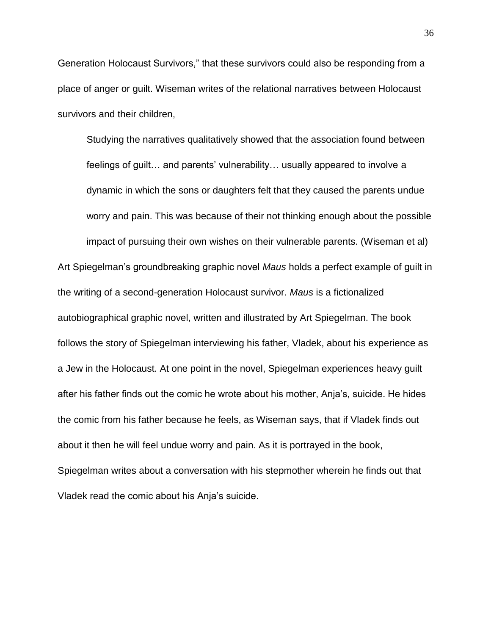Generation Holocaust Survivors," that these survivors could also be responding from a place of anger or guilt. Wiseman writes of the relational narratives between Holocaust survivors and their children,

Studying the narratives qualitatively showed that the association found between feelings of guilt… and parents' vulnerability… usually appeared to involve a dynamic in which the sons or daughters felt that they caused the parents undue worry and pain. This was because of their not thinking enough about the possible

impact of pursuing their own wishes on their vulnerable parents. (Wiseman et al) Art Spiegelman's groundbreaking graphic novel *Maus* holds a perfect example of guilt in the writing of a second-generation Holocaust survivor. *Maus* is a fictionalized autobiographical graphic novel, written and illustrated by Art Spiegelman. The book follows the story of Spiegelman interviewing his father, Vladek, about his experience as a Jew in the Holocaust. At one point in the novel, Spiegelman experiences heavy guilt after his father finds out the comic he wrote about his mother, Anja's, suicide. He hides the comic from his father because he feels, as Wiseman says, that if Vladek finds out about it then he will feel undue worry and pain. As it is portrayed in the book, Spiegelman writes about a conversation with his stepmother wherein he finds out that Vladek read the comic about his Anja's suicide.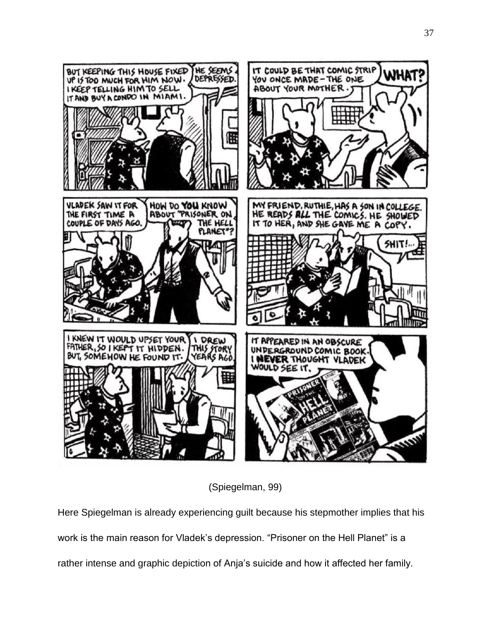

(Spiegelman, 99)

Here Spiegelman is already experiencing guilt because his stepmother implies that his work is the main reason for Vladek's depression. "Prisoner on the Hell Planet" is a rather intense and graphic depiction of Anja's suicide and how it affected her family.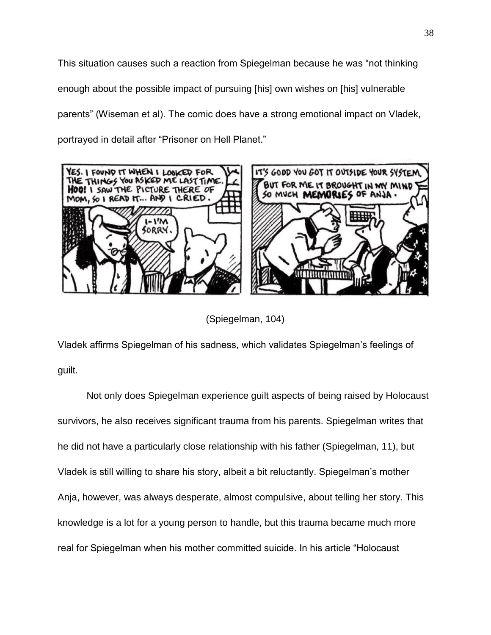This situation causes such a reaction from Spiegelman because he was "not thinking enough about the possible impact of pursuing [his] own wishes on [his] vulnerable parents" (Wiseman et al). The comic does have a strong emotional impact on Vladek, portrayed in detail after "Prisoner on Hell Planet."



(Spiegelman, 104)

Vladek affirms Spiegelman of his sadness, which validates Spiegelman's feelings of guilt.

Not only does Spiegelman experience guilt aspects of being raised by Holocaust survivors, he also receives significant trauma from his parents. Spiegelman writes that he did not have a particularly close relationship with his father (Spiegelman, 11), but Vladek is still willing to share his story, albeit a bit reluctantly. Spiegelman's mother Anja, however, was always desperate, almost compulsive, about telling her story. This knowledge is a lot for a young person to handle, but this trauma became much more real for Spiegelman when his mother committed suicide. In his article "Holocaust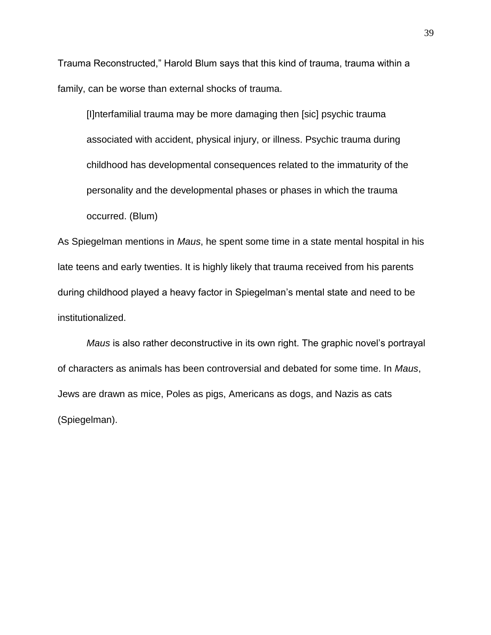Trauma Reconstructed," Harold Blum says that this kind of trauma, trauma within a family, can be worse than external shocks of trauma.

[I]nterfamilial trauma may be more damaging then [sic] psychic trauma associated with accident, physical injury, or illness. Psychic trauma during childhood has developmental consequences related to the immaturity of the personality and the developmental phases or phases in which the trauma occurred. (Blum)

As Spiegelman mentions in *Maus*, he spent some time in a state mental hospital in his late teens and early twenties. It is highly likely that trauma received from his parents during childhood played a heavy factor in Spiegelman's mental state and need to be institutionalized.

*Maus* is also rather deconstructive in its own right. The graphic novel's portrayal of characters as animals has been controversial and debated for some time. In *Maus*, Jews are drawn as mice, Poles as pigs, Americans as dogs, and Nazis as cats (Spiegelman).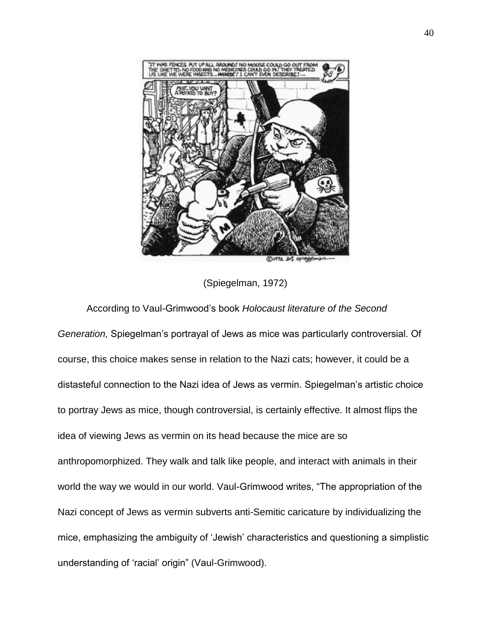

(Spiegelman, 1972)

#### According to Vaul-Grimwood's book *Holocaust literature of the Second*

*Generation,* Spiegelman's portrayal of Jews as mice was particularly controversial. Of course, this choice makes sense in relation to the Nazi cats; however, it could be a distasteful connection to the Nazi idea of Jews as vermin. Spiegelman's artistic choice to portray Jews as mice, though controversial, is certainly effective. It almost flips the idea of viewing Jews as vermin on its head because the mice are so anthropomorphized. They walk and talk like people, and interact with animals in their world the way we would in our world. Vaul-Grimwood writes, "The appropriation of the Nazi concept of Jews as vermin subverts anti-Semitic caricature by individualizing the mice, emphasizing the ambiguity of 'Jewish' characteristics and questioning a simplistic understanding of 'racial' origin" (Vaul-Grimwood).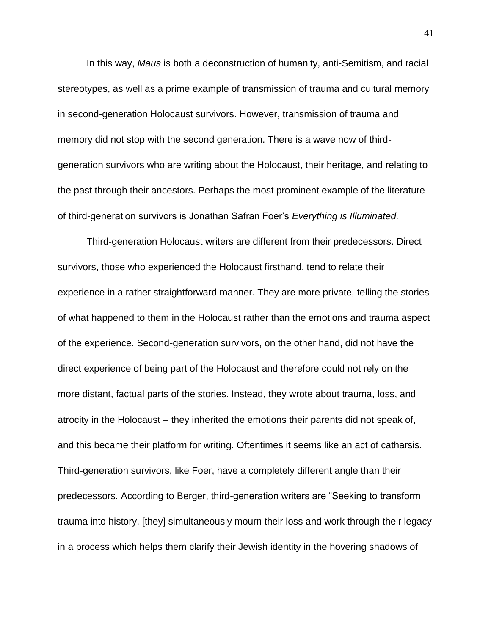In this way, *Maus* is both a deconstruction of humanity, anti-Semitism, and racial stereotypes, as well as a prime example of transmission of trauma and cultural memory in second-generation Holocaust survivors. However, transmission of trauma and memory did not stop with the second generation. There is a wave now of thirdgeneration survivors who are writing about the Holocaust, their heritage, and relating to the past through their ancestors. Perhaps the most prominent example of the literature of third-generation survivors is Jonathan Safran Foer's *Everything is Illuminated.* 

Third-generation Holocaust writers are different from their predecessors. Direct survivors, those who experienced the Holocaust firsthand, tend to relate their experience in a rather straightforward manner. They are more private, telling the stories of what happened to them in the Holocaust rather than the emotions and trauma aspect of the experience. Second-generation survivors, on the other hand, did not have the direct experience of being part of the Holocaust and therefore could not rely on the more distant, factual parts of the stories. Instead, they wrote about trauma, loss, and atrocity in the Holocaust – they inherited the emotions their parents did not speak of, and this became their platform for writing. Oftentimes it seems like an act of catharsis. Third-generation survivors, like Foer, have a completely different angle than their predecessors. According to Berger, third-generation writers are "Seeking to transform trauma into history, [they] simultaneously mourn their loss and work through their legacy in a process which helps them clarify their Jewish identity in the hovering shadows of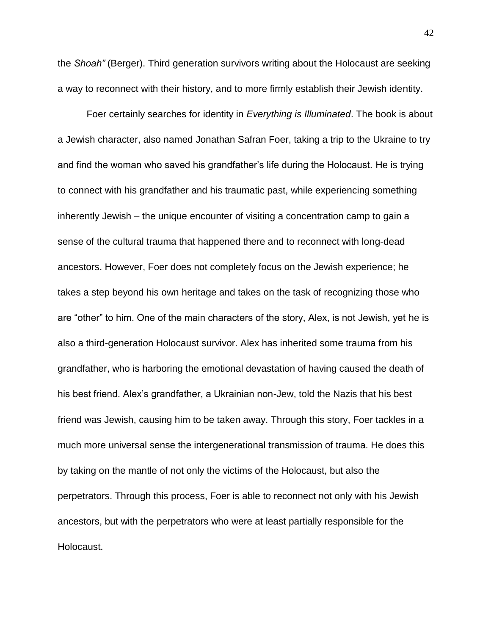the *Shoah"* (Berger). Third generation survivors writing about the Holocaust are seeking a way to reconnect with their history, and to more firmly establish their Jewish identity.

Foer certainly searches for identity in *Everything is Illuminated*. The book is about a Jewish character, also named Jonathan Safran Foer, taking a trip to the Ukraine to try and find the woman who saved his grandfather's life during the Holocaust. He is trying to connect with his grandfather and his traumatic past, while experiencing something inherently Jewish – the unique encounter of visiting a concentration camp to gain a sense of the cultural trauma that happened there and to reconnect with long-dead ancestors. However, Foer does not completely focus on the Jewish experience; he takes a step beyond his own heritage and takes on the task of recognizing those who are "other" to him. One of the main characters of the story, Alex, is not Jewish, yet he is also a third-generation Holocaust survivor. Alex has inherited some trauma from his grandfather, who is harboring the emotional devastation of having caused the death of his best friend. Alex's grandfather, a Ukrainian non-Jew, told the Nazis that his best friend was Jewish, causing him to be taken away. Through this story, Foer tackles in a much more universal sense the intergenerational transmission of trauma. He does this by taking on the mantle of not only the victims of the Holocaust, but also the perpetrators. Through this process, Foer is able to reconnect not only with his Jewish ancestors, but with the perpetrators who were at least partially responsible for the Holocaust.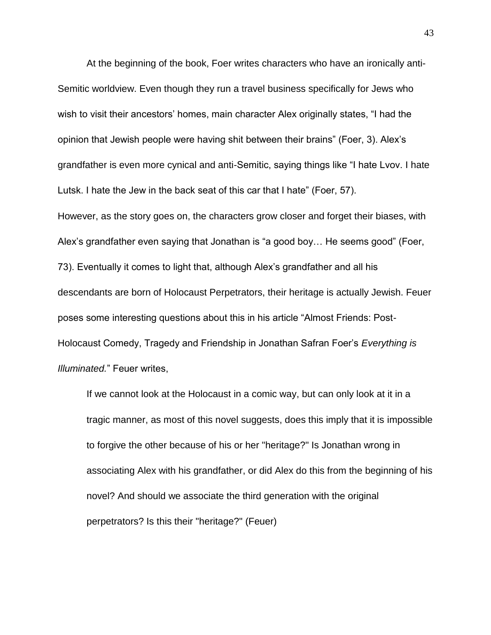At the beginning of the book, Foer writes characters who have an ironically anti-Semitic worldview. Even though they run a travel business specifically for Jews who wish to visit their ancestors' homes, main character Alex originally states, "I had the opinion that Jewish people were having shit between their brains" (Foer, 3). Alex's grandfather is even more cynical and anti-Semitic, saying things like "I hate Lvov. I hate Lutsk. I hate the Jew in the back seat of this car that I hate" (Foer, 57). However, as the story goes on, the characters grow closer and forget their biases, with Alex's grandfather even saying that Jonathan is "a good boy… He seems good" (Foer, 73). Eventually it comes to light that, although Alex's grandfather and all his descendants are born of Holocaust Perpetrators, their heritage is actually Jewish. Feuer poses some interesting questions about this in his article "Almost Friends: Post-Holocaust Comedy, Tragedy and Friendship in Jonathan Safran Foer's *Everything is Illuminated.*" Feuer writes,

If we cannot look at the Holocaust in a comic way, but can only look at it in a tragic manner, as most of this novel suggests, does this imply that it is impossible to forgive the other because of his or her "heritage?" Is Jonathan wrong in associating Alex with his grandfather, or did Alex do this from the beginning of his novel? And should we associate the third generation with the original perpetrators? Is this their "heritage?" (Feuer)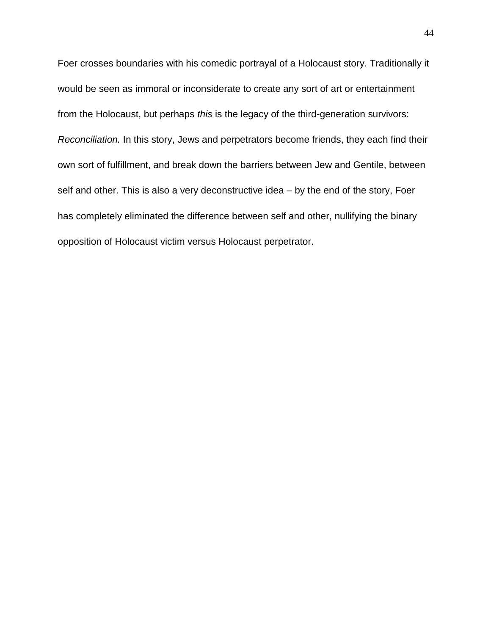Foer crosses boundaries with his comedic portrayal of a Holocaust story. Traditionally it would be seen as immoral or inconsiderate to create any sort of art or entertainment from the Holocaust, but perhaps *this* is the legacy of the third-generation survivors: *Reconciliation.* In this story, Jews and perpetrators become friends, they each find their own sort of fulfillment, and break down the barriers between Jew and Gentile, between self and other. This is also a very deconstructive idea – by the end of the story, Foer has completely eliminated the difference between self and other, nullifying the binary opposition of Holocaust victim versus Holocaust perpetrator.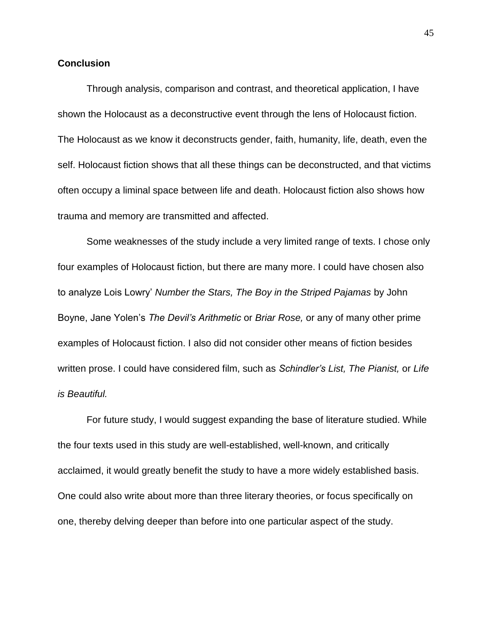#### **Conclusion**

Through analysis, comparison and contrast, and theoretical application, I have shown the Holocaust as a deconstructive event through the lens of Holocaust fiction. The Holocaust as we know it deconstructs gender, faith, humanity, life, death, even the self. Holocaust fiction shows that all these things can be deconstructed, and that victims often occupy a liminal space between life and death. Holocaust fiction also shows how trauma and memory are transmitted and affected.

Some weaknesses of the study include a very limited range of texts. I chose only four examples of Holocaust fiction, but there are many more. I could have chosen also to analyze Lois Lowry' *Number the Stars, The Boy in the Striped Pajamas* by John Boyne, Jane Yolen's *The Devil's Arithmetic* or *Briar Rose,* or any of many other prime examples of Holocaust fiction. I also did not consider other means of fiction besides written prose. I could have considered film, such as *Schindler's List, The Pianist,* or *Life is Beautiful.* 

For future study, I would suggest expanding the base of literature studied. While the four texts used in this study are well-established, well-known, and critically acclaimed, it would greatly benefit the study to have a more widely established basis. One could also write about more than three literary theories, or focus specifically on one, thereby delving deeper than before into one particular aspect of the study.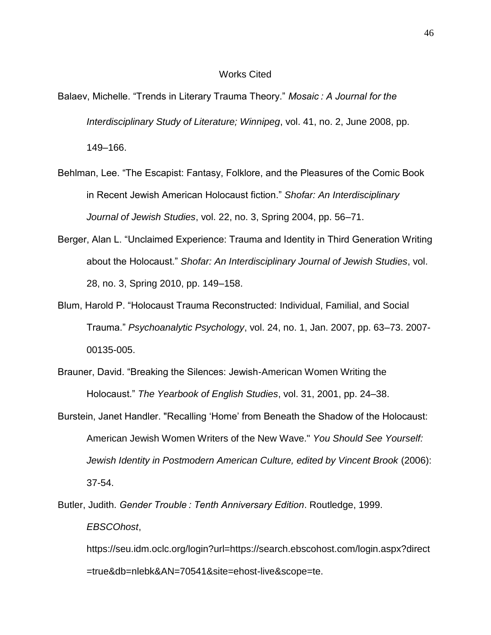#### Works Cited

- Balaev, Michelle. "Trends in Literary Trauma Theory." *Mosaic : A Journal for the Interdisciplinary Study of Literature; Winnipeg*, vol. 41, no. 2, June 2008, pp. 149–166.
- Behlman, Lee. "The Escapist: Fantasy, Folklore, and the Pleasures of the Comic Book in Recent Jewish American Holocaust fiction." *Shofar: An Interdisciplinary Journal of Jewish Studies*, vol. 22, no. 3, Spring 2004, pp. 56–71.
- Berger, Alan L. "Unclaimed Experience: Trauma and Identity in Third Generation Writing about the Holocaust." *Shofar: An Interdisciplinary Journal of Jewish Studies*, vol. 28, no. 3, Spring 2010, pp. 149–158.
- Blum, Harold P. "Holocaust Trauma Reconstructed: Individual, Familial, and Social Trauma." *Psychoanalytic Psychology*, vol. 24, no. 1, Jan. 2007, pp. 63–73. 2007- 00135-005.
- Brauner, David. "Breaking the Silences: Jewish-American Women Writing the Holocaust." *The Yearbook of English Studies*, vol. 31, 2001, pp. 24–38.
- Burstein, Janet Handler. "Recalling 'Home' from Beneath the Shadow of the Holocaust: American Jewish Women Writers of the New Wave." *You Should See Yourself: Jewish Identity in Postmodern American Culture, edited by Vincent Brook* (2006): 37-54.
- Butler, Judith. *Gender Trouble : Tenth Anniversary Edition*. Routledge, 1999. *EBSCOhost*, https://seu.idm.oclc.org/login?url=https://search.ebscohost.com/login.aspx?direct

=true&db=nlebk&AN=70541&site=ehost-live&scope=te.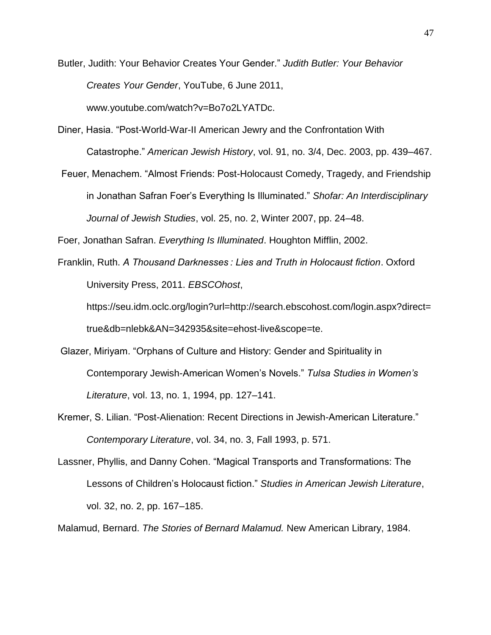Butler, Judith: Your Behavior Creates Your Gender." *Judith Butler: Your Behavior Creates Your Gender*, YouTube, 6 June 2011, www.youtube.com/watch?v=Bo7o2LYATDc.

Diner, Hasia. "Post-World-War-II American Jewry and the Confrontation With Catastrophe." *American Jewish History*, vol. 91, no. 3/4, Dec. 2003, pp. 439–467.

Feuer, Menachem. "Almost Friends: Post-Holocaust Comedy, Tragedy, and Friendship in Jonathan Safran Foer's Everything Is Illuminated." *Shofar: An Interdisciplinary Journal of Jewish Studies*, vol. 25, no. 2, Winter 2007, pp. 24–48.

Foer, Jonathan Safran. *Everything Is Illuminated*. Houghton Mifflin, 2002.

Franklin, Ruth. *A Thousand Darknesses : Lies and Truth in Holocaust fiction*. Oxford University Press, 2011. *EBSCOhost*,

https://seu.idm.oclc.org/login?url=http://search.ebscohost.com/login.aspx?direct= true&db=nlebk&AN=342935&site=ehost-live&scope=te.

- Glazer, Miriyam. "Orphans of Culture and History: Gender and Spirituality in Contemporary Jewish-American Women's Novels." *Tulsa Studies in Women's Literature*, vol. 13, no. 1, 1994, pp. 127–141.
- Kremer, S. Lilian. "Post-Alienation: Recent Directions in Jewish-American Literature." *Contemporary Literature*, vol. 34, no. 3, Fall 1993, p. 571.
- Lassner, Phyllis, and Danny Cohen. "Magical Transports and Transformations: The Lessons of Children's Holocaust fiction." *Studies in American Jewish Literature*, vol. 32, no. 2, pp. 167–185.

Malamud, Bernard. *The Stories of Bernard Malamud.* New American Library, 1984.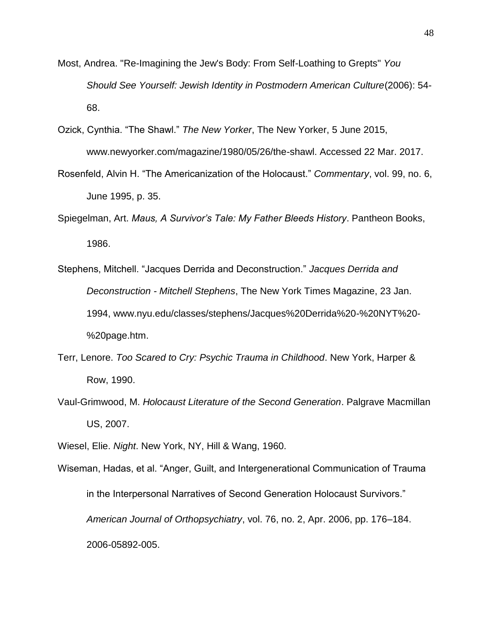- Most, Andrea. "Re-Imagining the Jew's Body: From Self-Loathing to Grepts" *You Should See Yourself: Jewish Identity in Postmodern American Culture*(2006): 54- 68.
- Ozick, Cynthia. "The Shawl." *The New Yorker*, The New Yorker, 5 June 2015, www.newyorker.com/magazine/1980/05/26/the-shawl. Accessed 22 Mar. 2017.
- Rosenfeld, Alvin H. "The Americanization of the Holocaust." *Commentary*, vol. 99, no. 6, June 1995, p. 35.
- Spiegelman, Art. *Maus, A Survivor's Tale: My Father Bleeds History*. Pantheon Books, 1986.
- Stephens, Mitchell. "Jacques Derrida and Deconstruction." *Jacques Derrida and Deconstruction - Mitchell Stephens*, The New York Times Magazine, 23 Jan. 1994, [www.nyu.edu/classes/stephens/Jacques%20Derrida%20-%20NYT%20-](http://www.nyu.edu/classes/stephens/Jacques%20Derrida%20-%20NYT%20-%20page.htm) [%20page.htm.](http://www.nyu.edu/classes/stephens/Jacques%20Derrida%20-%20NYT%20-%20page.htm)
- Terr, Lenore. *Too Scared to Cry: Psychic Trauma in Childhood*. New York, Harper & Row, 1990.
- Vaul-Grimwood, M. *Holocaust Literature of the Second Generation*. Palgrave Macmillan US, 2007.

Wiesel, Elie. *Night*. New York, NY, Hill & Wang, 1960.

Wiseman, Hadas, et al. "Anger, Guilt, and Intergenerational Communication of Trauma in the Interpersonal Narratives of Second Generation Holocaust Survivors." *American Journal of Orthopsychiatry*, vol. 76, no. 2, Apr. 2006, pp. 176–184. 2006-05892-005.